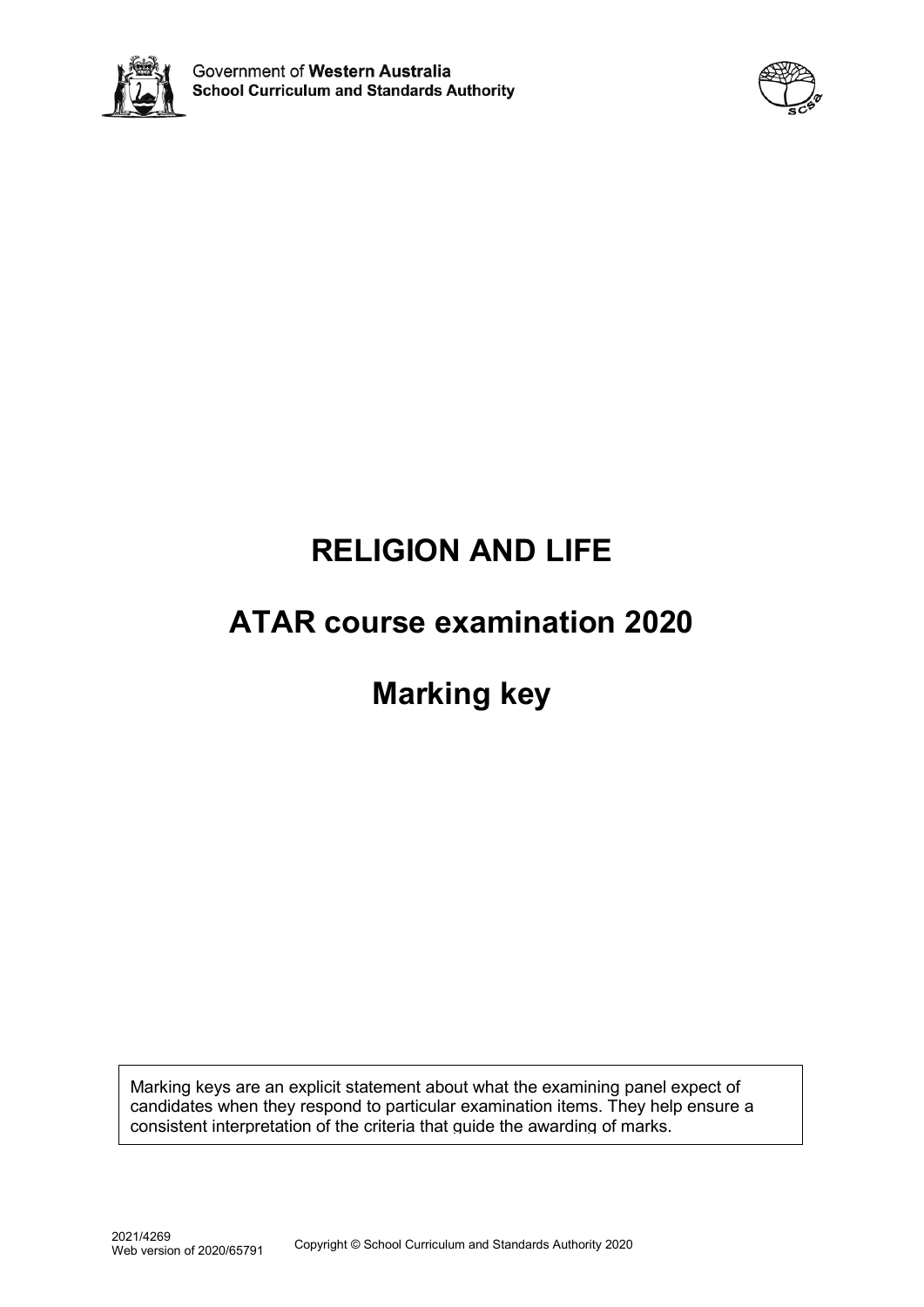



# **RELIGION AND LIFE**

# **ATAR course examination 2020**

# **Marking key**

Marking keys are an explicit statement about what the examining panel expect of candidates when they respond to particular examination items. They help ensure a consistent interpretation of the criteria that guide the awarding of marks.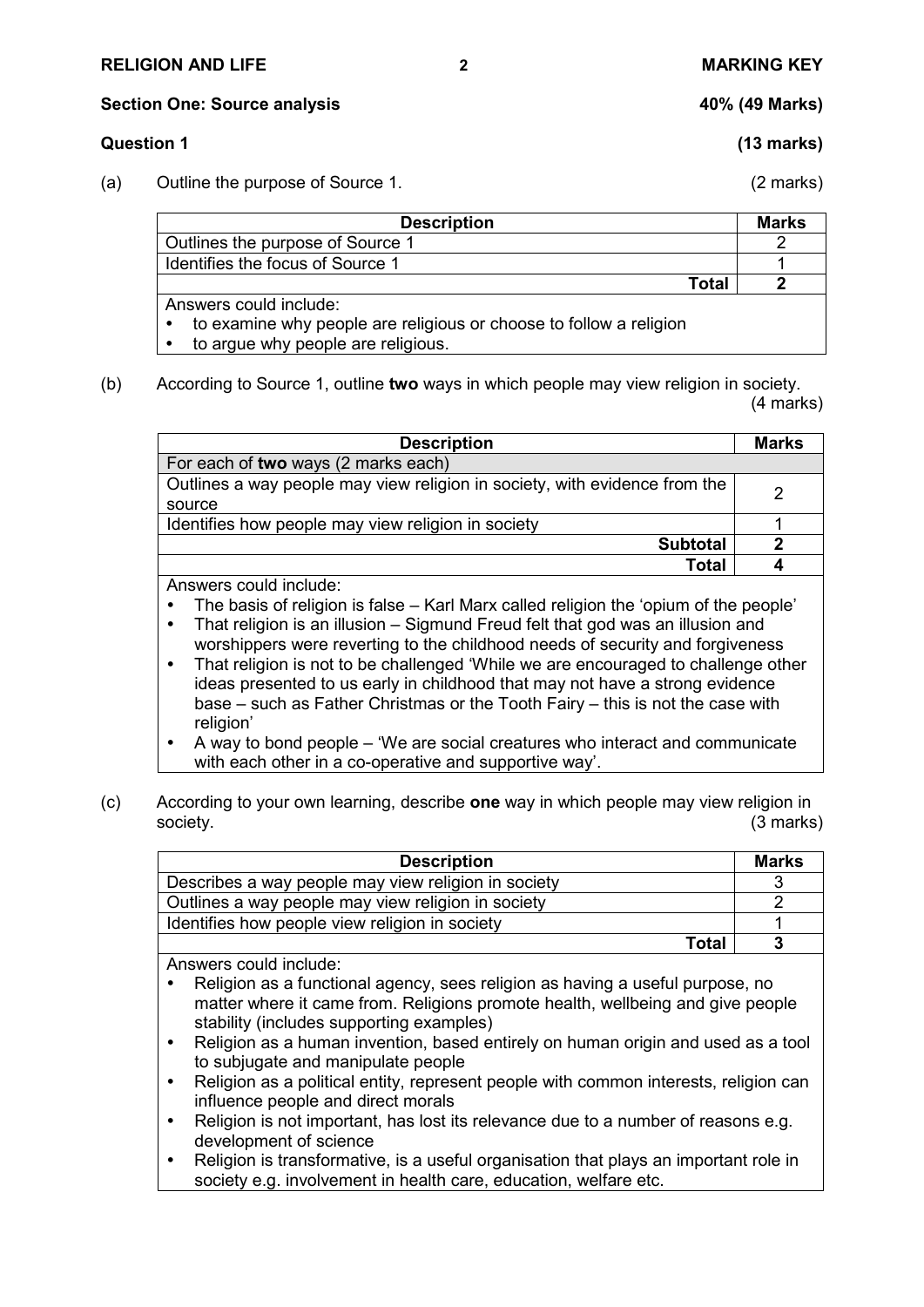### **RELIGION AND LIFE 2 MARKING KEY**

**Section One: Source analysis 40% (49 Marks)**

# **Question 1 (13 marks)**

(a) Outline the purpose of Source 1. (2 marks)

| <b>Description</b>               | <b>Marks</b> |
|----------------------------------|--------------|
| Outlines the purpose of Source 1 |              |
| Identifies the focus of Source 1 |              |
| Total                            |              |
| Anewere could include:           |              |

's could include:

to examine why people are religious or choose to follow a religion

to argue why people are religious.

(b) According to Source 1, outline **two** ways in which people may view religion in society. (4 marks)

| <b>Description</b>                                                         | <b>Marks</b> |
|----------------------------------------------------------------------------|--------------|
| For each of two ways (2 marks each)                                        |              |
| Outlines a way people may view religion in society, with evidence from the | 2            |
| source                                                                     |              |
| Identifies how people may view religion in society                         |              |
| <b>Subtotal</b>                                                            |              |
| <b>Total</b>                                                               |              |
| Answers could include:                                                     |              |

The basis of religion is false – Karl Marx called religion the 'opium of the people'

- That religion is an illusion Sigmund Freud felt that god was an illusion and worshippers were reverting to the childhood needs of security and forgiveness
- That religion is not to be challenged 'While we are encouraged to challenge other ideas presented to us early in childhood that may not have a strong evidence base – such as Father Christmas or the Tooth Fairy – this is not the case with religion'
- A way to bond people 'We are social creatures who interact and communicate with each other in a co-operative and supportive way'.
- (c) According to your own learning, describe **one** way in which people may view religion in society. (3 marks)

| <b>Description</b>                                  | Marks |
|-----------------------------------------------------|-------|
| Describes a way people may view religion in society |       |
| Outlines a way people may view religion in society  |       |
| Identifies how people view religion in society      |       |
| Total                                               |       |

Answers could include:

- Religion as a functional agency, sees religion as having a useful purpose, no matter where it came from. Religions promote health, wellbeing and give people stability (includes supporting examples)
- Religion as a human invention, based entirely on human origin and used as a tool to subjugate and manipulate people
- Religion as a political entity, represent people with common interests, religion can influence people and direct morals
- Religion is not important, has lost its relevance due to a number of reasons e.g. development of science
- Religion is transformative, is a useful organisation that plays an important role in society e.g. involvement in health care, education, welfare etc.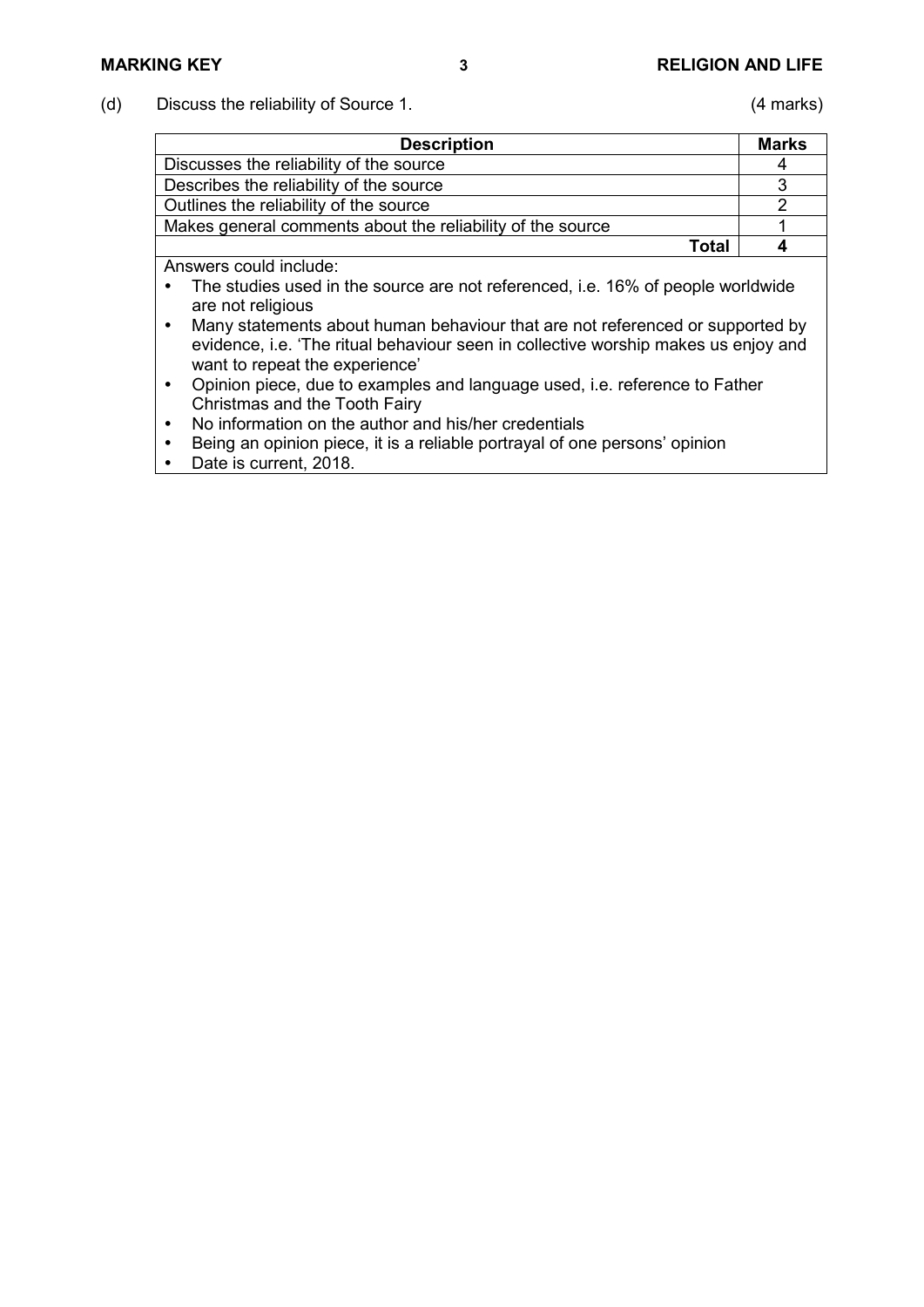(d) Discuss the reliability of Source 1. (4 marks)

| <b>Description</b>                                         | <b>Marks</b> |
|------------------------------------------------------------|--------------|
| Discusses the reliability of the source                    |              |
| Describes the reliability of the source                    |              |
| Outlines the reliability of the source                     |              |
| Makes general comments about the reliability of the source |              |
| Total                                                      |              |

Answers could include:

- The studies used in the source are not referenced, i.e. 16% of people worldwide are not religious
- Many statements about human behaviour that are not referenced or supported by evidence, i.e. 'The ritual behaviour seen in collective worship makes us enjoy and want to repeat the experience'
- Opinion piece, due to examples and language used, i.e. reference to Father Christmas and the Tooth Fairy
- No information on the author and his/her credentials
- Being an opinion piece, it is a reliable portrayal of one persons' opinion
- Date is current, 2018.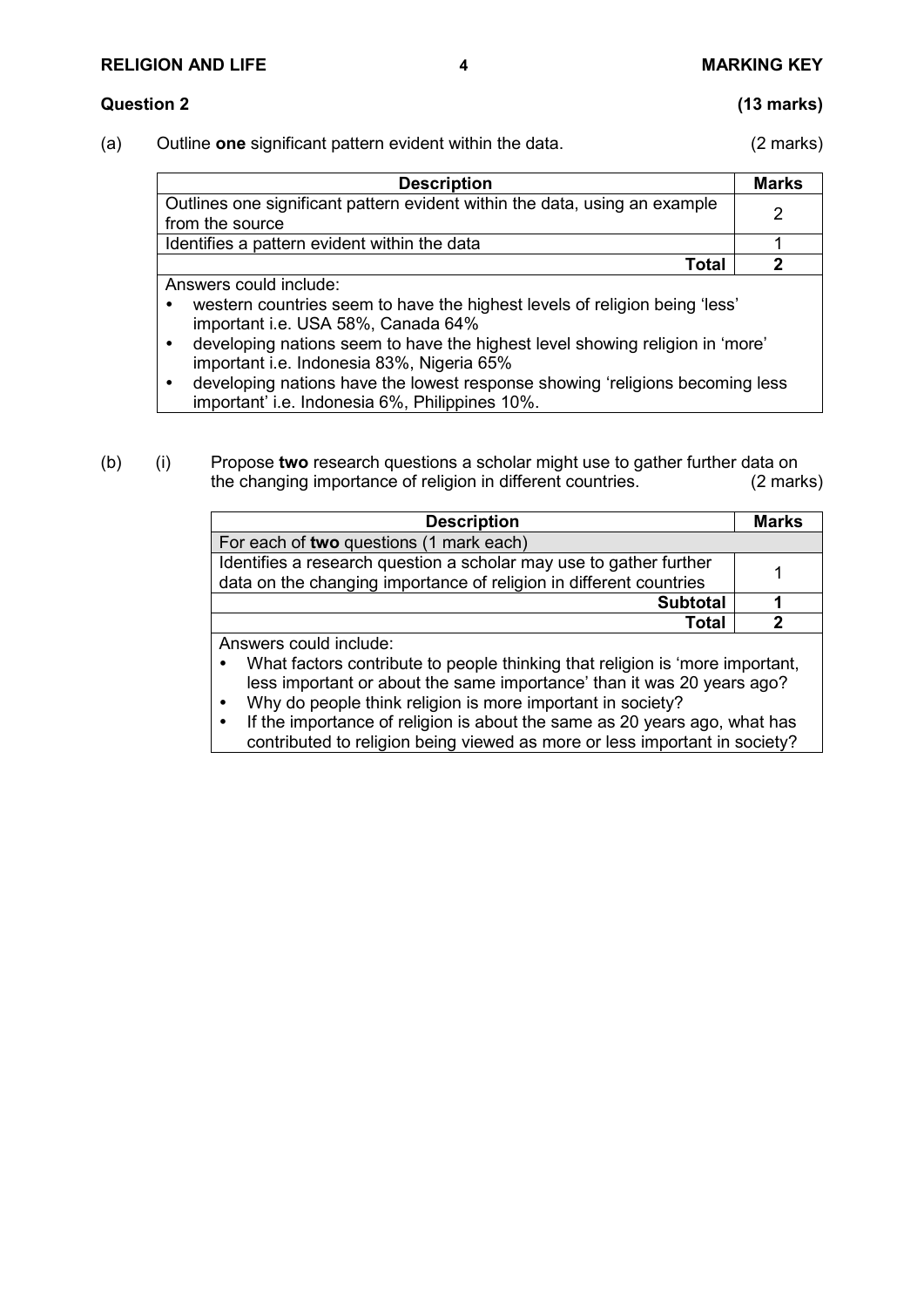## **RELIGION AND LIFE 4 MARKING KEY**

### **Question 2 (13 marks)**

(a) Outline **one** significant pattern evident within the data. (2 marks)

| <b>Description</b>                                                                                                                                                                                                                                                        | <b>Marks</b> |
|---------------------------------------------------------------------------------------------------------------------------------------------------------------------------------------------------------------------------------------------------------------------------|--------------|
| Outlines one significant pattern evident within the data, using an example<br>from the source                                                                                                                                                                             |              |
| Identifies a pattern evident within the data                                                                                                                                                                                                                              |              |
| Total                                                                                                                                                                                                                                                                     |              |
| Answers could include:<br>western countries seem to have the highest levels of religion being 'less'<br>$\bullet$<br>important i.e. USA 58%, Canada 64%<br>المعصوفات والمتماز والمعارض والمتناوي المتنما للمصادقات والمسال وينصبان وللمستحدث والمتماز والمساوية والمتنصاف |              |

- developing nations seem to have the highest level showing religion in 'more' important i.e. Indonesia 83%, Nigeria 65%
- developing nations have the lowest response showing 'religions becoming less important' i.e. Indonesia 6%, Philippines 10%.

### (b) (i) Propose **two** research questions a scholar might use to gather further data on the changing importance of religion in different countries.

| <b>Description</b>                                                           | <b>Marks</b> |
|------------------------------------------------------------------------------|--------------|
| For each of two questions (1 mark each)                                      |              |
| Identifies a research question a scholar may use to gather further           |              |
| data on the changing importance of religion in different countries           |              |
| <b>Subtotal</b>                                                              |              |
| <b>Total</b>                                                                 | 2            |
| Answers could include:                                                       |              |
| What factors contribute to people thinking that religion is 'more important, |              |
| less important or about the same importance' than it was 20 years ago?       |              |
| Why do people think religion is more important in society?                   |              |
| If the importance of religion is about the same as 20 years ago, what has    |              |
| contributed to religion being viewed as more or less important in society?   |              |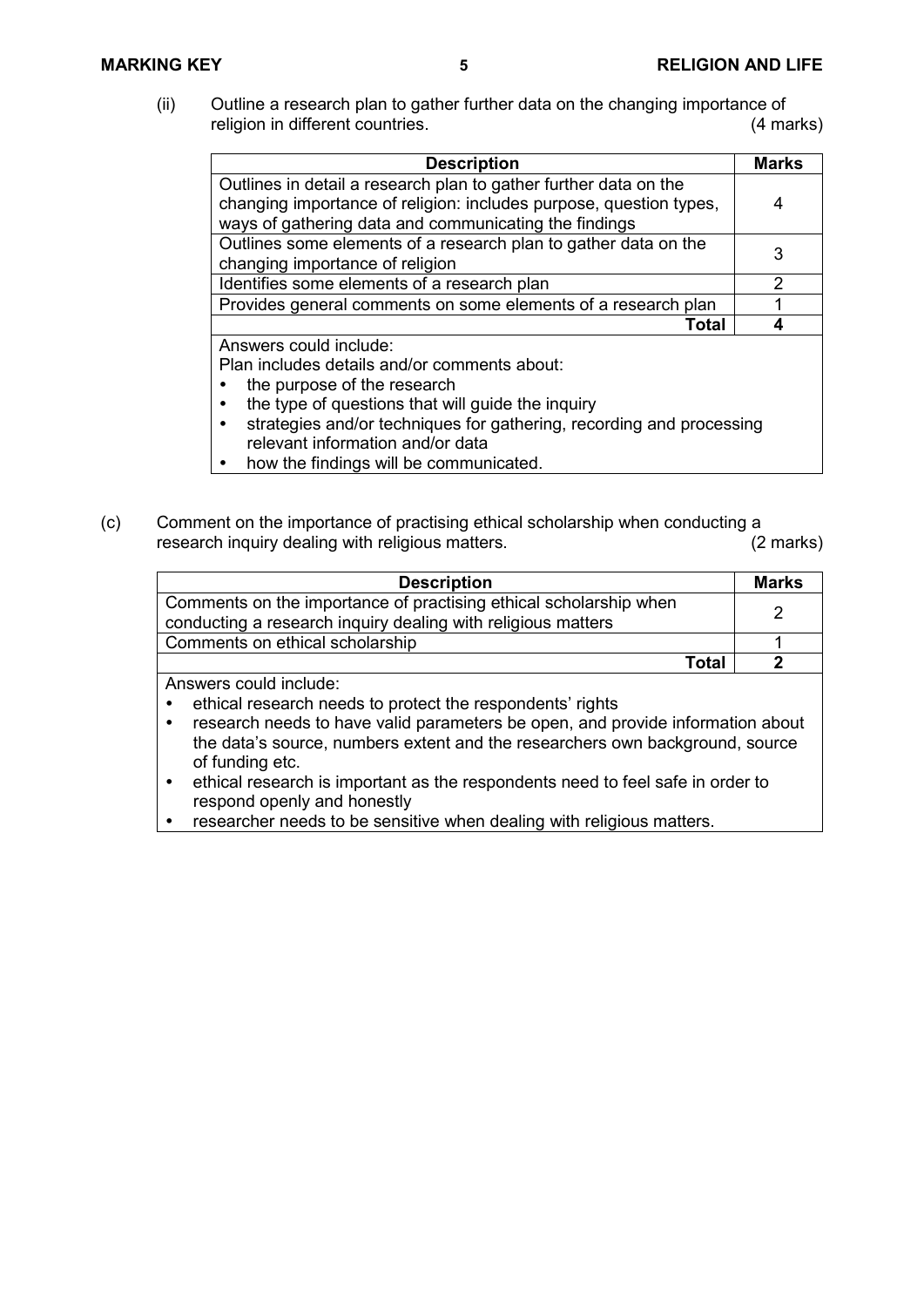(ii) Outline a research plan to gather further data on the changing importance of religion in different countries. (4 marks)

| <b>Description</b>                                                                                                          | <b>Marks</b>  |
|-----------------------------------------------------------------------------------------------------------------------------|---------------|
| Outlines in detail a research plan to gather further data on the                                                            |               |
| changing importance of religion: includes purpose, question types,<br>ways of gathering data and communicating the findings | 4             |
| Outlines some elements of a research plan to gather data on the                                                             | 3             |
| changing importance of religion                                                                                             |               |
| Identifies some elements of a research plan                                                                                 | $\mathcal{P}$ |
| Provides general comments on some elements of a research plan                                                               |               |
| <b>Total</b>                                                                                                                |               |
| Answers could include:                                                                                                      |               |
| Plan includes details and/or comments about:                                                                                |               |
| the purpose of the research                                                                                                 |               |
| the type of questions that will guide the inquiry                                                                           |               |

- strategies and/or techniques for gathering, recording and processing relevant information and/or data
- how the findings will be communicated.
- (c) Comment on the importance of practising ethical scholarship when conducting a<br>research inguiry dealing with religious matters. (2 marks) research inquiry dealing with religious matters.

| <b>Description</b>                                                                                                                | <b>Marks</b> |
|-----------------------------------------------------------------------------------------------------------------------------------|--------------|
| Comments on the importance of practising ethical scholarship when<br>conducting a research inquiry dealing with religious matters |              |
| Comments on ethical scholarship                                                                                                   |              |
| Total                                                                                                                             |              |
| Answers could include:                                                                                                            |              |

- ethical research needs to protect the respondents' rights
- research needs to have valid parameters be open, and provide information about the data's source, numbers extent and the researchers own background, source of funding etc.
- ethical research is important as the respondents need to feel safe in order to respond openly and honestly
- researcher needs to be sensitive when dealing with religious matters.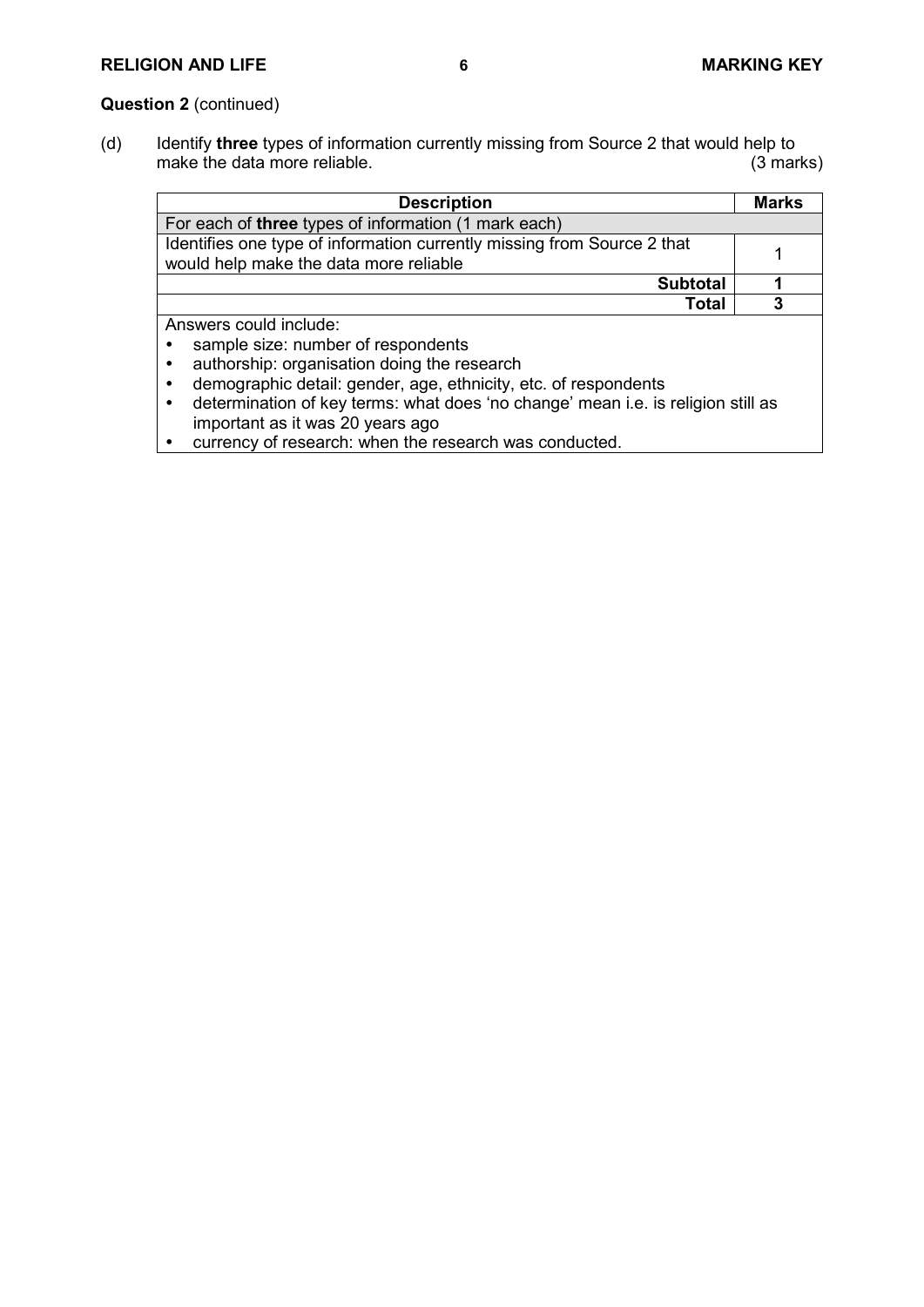# **RELIGION AND LIFE 6 MARKING KEY**

# **Question 2** (continued)

(d) Identify **three** types of information currently missing from Source 2 that would help to make the data more reliable. (3 marks)

| <b>Description</b>                                                                                                                | <b>Marks</b> |
|-----------------------------------------------------------------------------------------------------------------------------------|--------------|
| For each of three types of information (1 mark each)                                                                              |              |
| Identifies one type of information currently missing from Source 2 that<br>would help make the data more reliable                 |              |
| <b>Subtotal</b>                                                                                                                   |              |
| Total                                                                                                                             | 3            |
| Answers could include:                                                                                                            |              |
| sample size: number of respondents                                                                                                |              |
| authorship: organisation doing the research                                                                                       |              |
| demographic detail: gender, age, ethnicity, etc. of respondents<br>$\bullet$                                                      |              |
| determination of key terms: what does 'no change' mean i.e. is religion still as<br>$\bullet$<br>important as it was 20 years ago |              |

currency of research: when the research was conducted.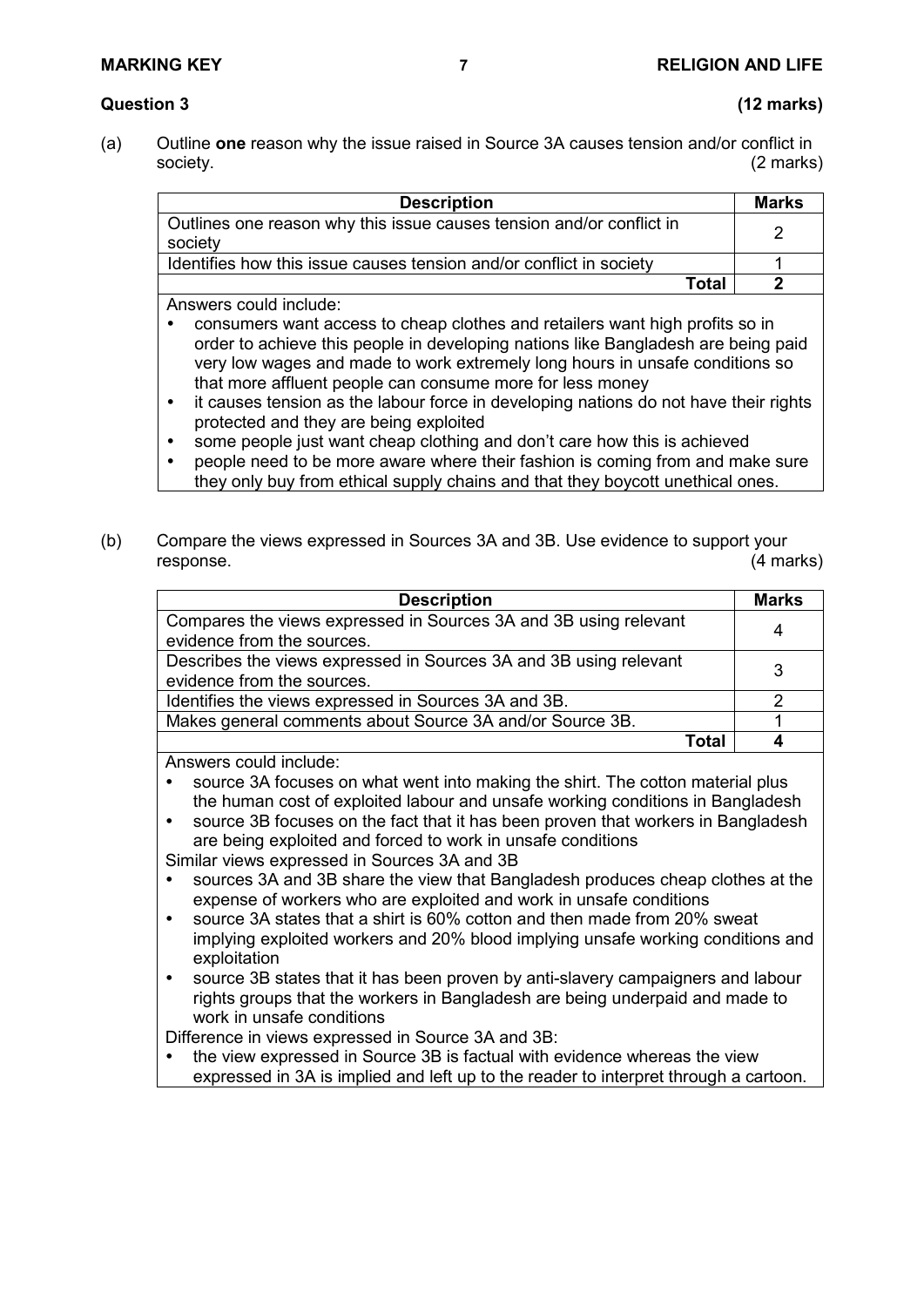## **Question 3 (12 marks)**

(a) Outline **one** reason why the issue raised in Source 3A causes tension and/or conflict in society. (2 marks)

| <b>Description</b>                                                              | <b>Marks</b> |
|---------------------------------------------------------------------------------|--------------|
| Outlines one reason why this issue causes tension and/or conflict in<br>society |              |
| Identifies how this issue causes tension and/or conflict in society             |              |
| Total                                                                           |              |

Answers could include:

- consumers want access to cheap clothes and retailers want high profits so in order to achieve this people in developing nations like Bangladesh are being paid very low wages and made to work extremely long hours in unsafe conditions so that more affluent people can consume more for less money
- it causes tension as the labour force in developing nations do not have their rights protected and they are being exploited
- some people just want cheap clothing and don't care how this is achieved
- people need to be more aware where their fashion is coming from and make sure they only buy from ethical supply chains and that they boycott unethical ones.
- (b) Compare the views expressed in Sources 3A and 3B. Use evidence to support your response. (4 marks)

| <b>Description</b>                                                | <b>Marks</b> |
|-------------------------------------------------------------------|--------------|
| Compares the views expressed in Sources 3A and 3B using relevant  | 4            |
| evidence from the sources.                                        |              |
| Describes the views expressed in Sources 3A and 3B using relevant | 3            |
| evidence from the sources.                                        |              |
| Identifies the views expressed in Sources 3A and 3B.              |              |
| Makes general comments about Source 3A and/or Source 3B.          |              |
| Total                                                             |              |
| .                                                                 |              |

Answers could include:

- source 3A focuses on what went into making the shirt. The cotton material plus the human cost of exploited labour and unsafe working conditions in Bangladesh
- source 3B focuses on the fact that it has been proven that workers in Bangladesh are being exploited and forced to work in unsafe conditions Similar views expressed in Sources 3A and 3B
- sources 3A and 3B share the view that Bangladesh produces cheap clothes at the expense of workers who are exploited and work in unsafe conditions
- source 3A states that a shirt is 60% cotton and then made from 20% sweat implying exploited workers and 20% blood implying unsafe working conditions and exploitation
- source 3B states that it has been proven by anti-slavery campaigners and labour rights groups that the workers in Bangladesh are being underpaid and made to work in unsafe conditions

Difference in views expressed in Source 3A and 3B:

• the view expressed in Source 3B is factual with evidence whereas the view expressed in 3A is implied and left up to the reader to interpret through a cartoon.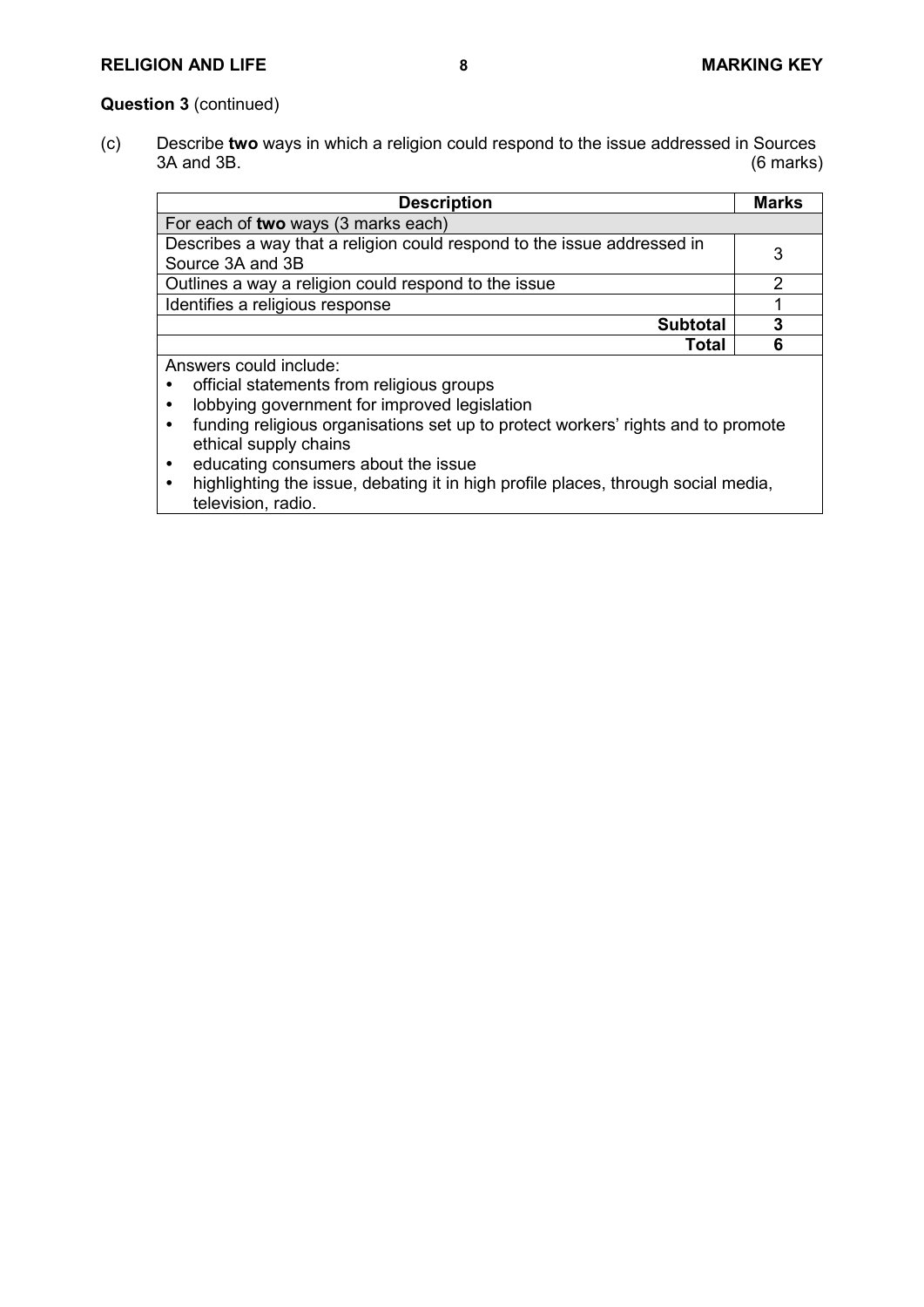### **Question 3** (continued)

(c) Describe **two** ways in which a religion could respond to the issue addressed in Sources 3A and 3B. (6 marks)

| <b>Description</b>                                                      | <b>Marks</b> |
|-------------------------------------------------------------------------|--------------|
| For each of two ways (3 marks each)                                     |              |
| Describes a way that a religion could respond to the issue addressed in |              |
| Source 3A and 3B                                                        | 3            |
| Outlines a way a religion could respond to the issue                    |              |
| Identifies a religious response                                         |              |
| <b>Subtotal</b>                                                         | 3            |
| <b>Total</b>                                                            | 6            |
| Answers could include:                                                  |              |
| e official atatomonto from roligique groupe                             |              |

- official statements from religious groups
- lobbying government for improved legislation
- funding religious organisations set up to protect workers' rights and to promote ethical supply chains
- educating consumers about the issue<br>• highlighting the issue debating it in high
- highlighting the issue, debating it in high profile places, through social media, television, radio.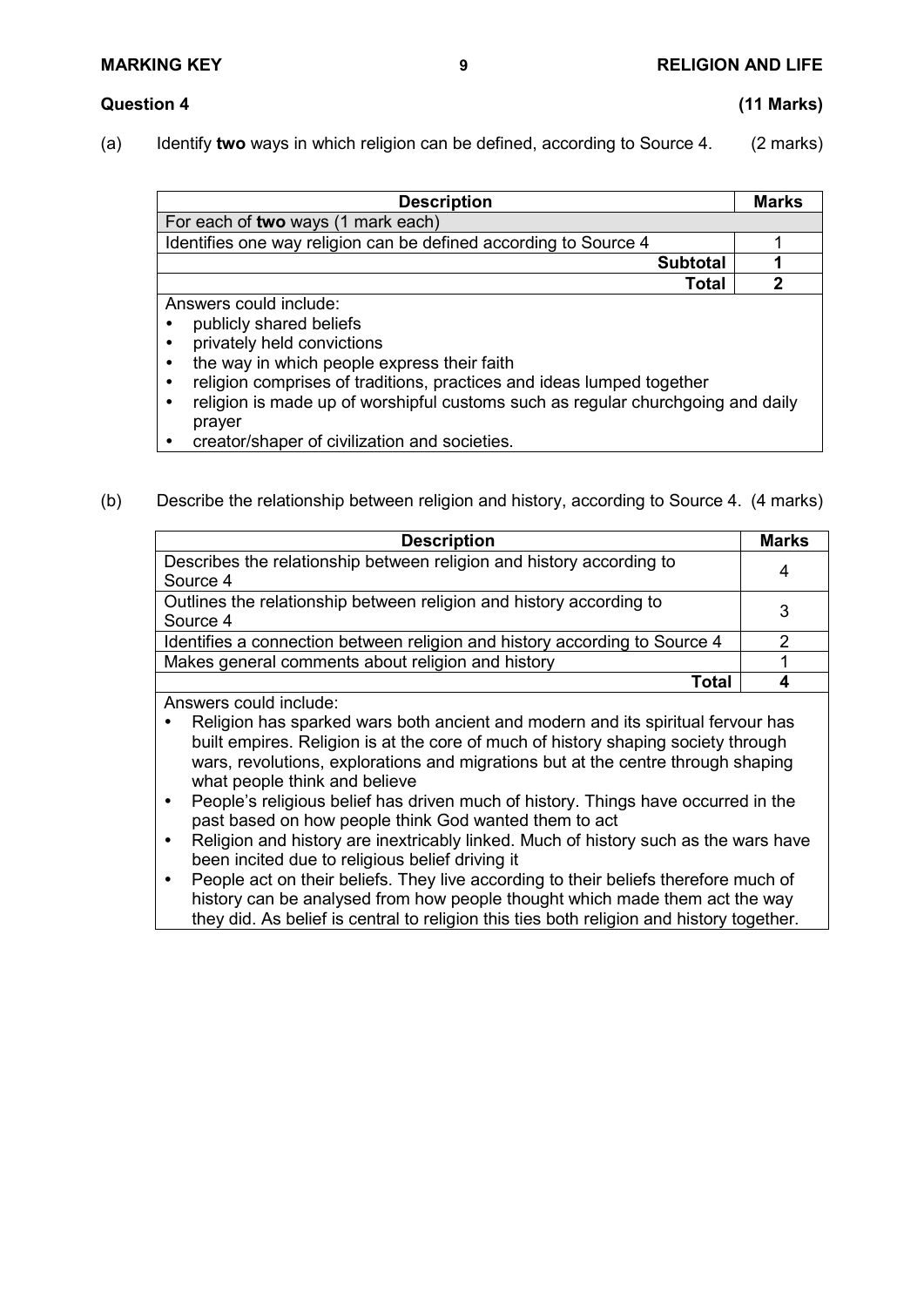- **Question 4 (11 Marks)**
- (a) Identify **two** ways in which religion can be defined, according to Source 4. (2 marks)

| <b>Description</b>                                               | Marks |
|------------------------------------------------------------------|-------|
| For each of two ways (1 mark each)                               |       |
| Identifies one way religion can be defined according to Source 4 |       |
| <b>Subtotal</b>                                                  |       |
| Total                                                            |       |
| Answers could include:                                           |       |

- publicly shared beliefs
- privately held convictions
- the way in which people express their faith
- religion comprises of traditions, practices and ideas lumped together
- religion is made up of worshipful customs such as regular churchgoing and daily prayer
- creator/shaper of civilization and societies.
- (b) Describe the relationship between religion and history, according to Source 4. (4 marks)

| <b>Description</b>                                                               | <b>Marks</b> |
|----------------------------------------------------------------------------------|--------------|
| Describes the relationship between religion and history according to<br>Source 4 | 4            |
| Outlines the relationship between religion and history according to<br>Source 4  | 3            |
| Identifies a connection between religion and history according to Source 4       |              |
| Makes general comments about religion and history                                |              |
| Total                                                                            |              |

Answers could include:

- Religion has sparked wars both ancient and modern and its spiritual fervour has built empires. Religion is at the core of much of history shaping society through wars, revolutions, explorations and migrations but at the centre through shaping what people think and believe
- People's religious belief has driven much of history. Things have occurred in the past based on how people think God wanted them to act
- Religion and history are inextricably linked. Much of history such as the wars have been incited due to religious belief driving it
- People act on their beliefs. They live according to their beliefs therefore much of history can be analysed from how people thought which made them act the way they did. As belief is central to religion this ties both religion and history together.

**MARKING KEY 9 RELIGION AND LIFE**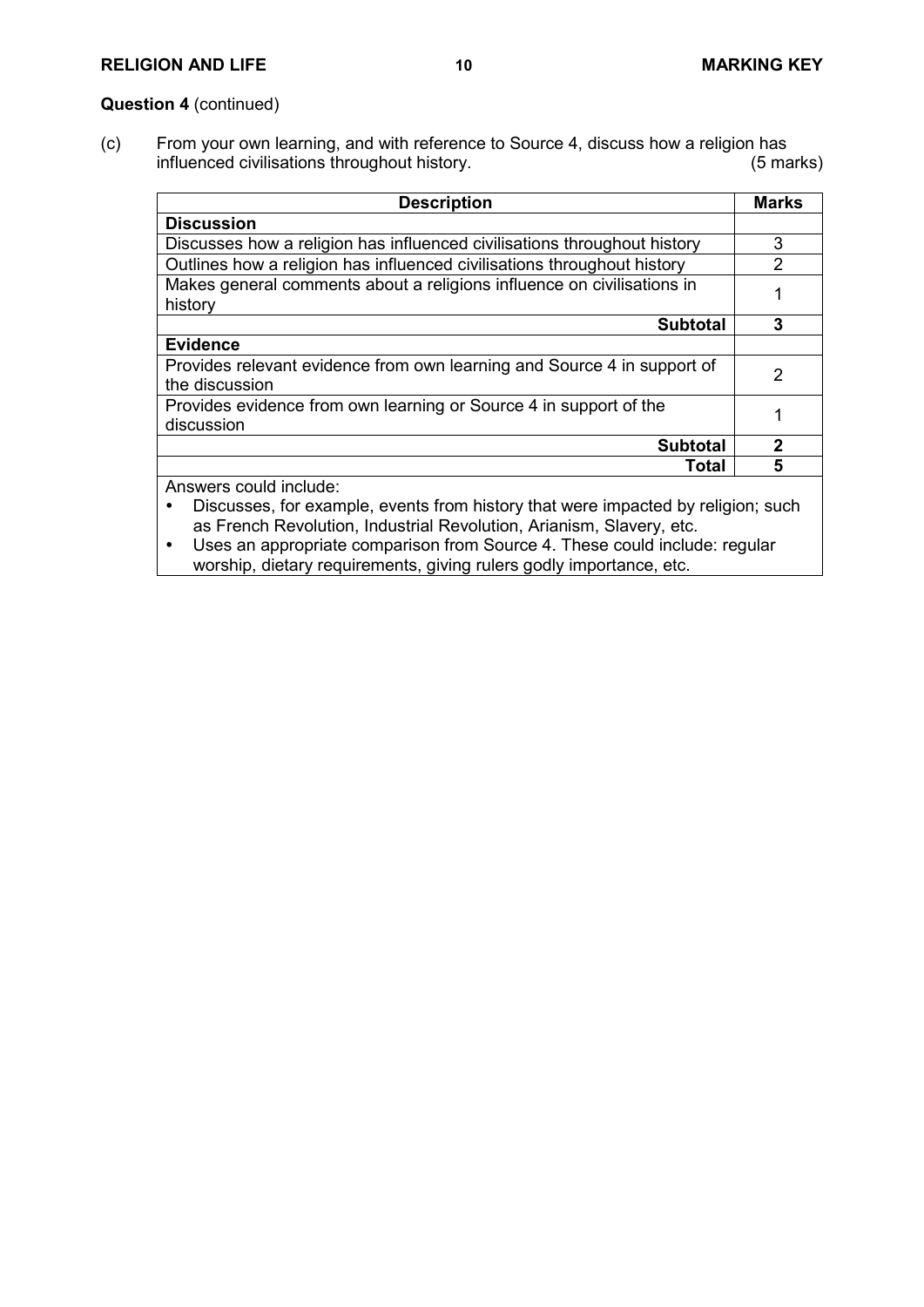### **Question 4** (continued)

(c) From your own learning, and with reference to Source 4, discuss how a religion has influenced civilisations throughout history. influenced civilisations throughout history.

| <b>Description</b>                                                                                       | <b>Marks</b>  |
|----------------------------------------------------------------------------------------------------------|---------------|
| <b>Discussion</b>                                                                                        |               |
| Discusses how a religion has influenced civilisations throughout history                                 | 3             |
| Outlines how a religion has influenced civilisations throughout history                                  | $\mathcal{P}$ |
| Makes general comments about a religions influence on civilisations in<br>history                        |               |
| <b>Subtotal</b>                                                                                          | 3             |
| <b>Evidence</b>                                                                                          |               |
| Provides relevant evidence from own learning and Source 4 in support of<br>the discussion                | 2             |
| Provides evidence from own learning or Source 4 in support of the<br>discussion                          |               |
| <b>Subtotal</b>                                                                                          | $\mathbf{2}$  |
| Total                                                                                                    | 5             |
| Answers could include:<br>Discusses for example events from bistory that were impacted by religion; such |               |

 Discusses, for example, events from history that were impacted by religion; such as French Revolution, Industrial Revolution, Arianism, Slavery, etc.

 Uses an appropriate comparison from Source 4. These could include: regular worship, dietary requirements, giving rulers godly importance, etc.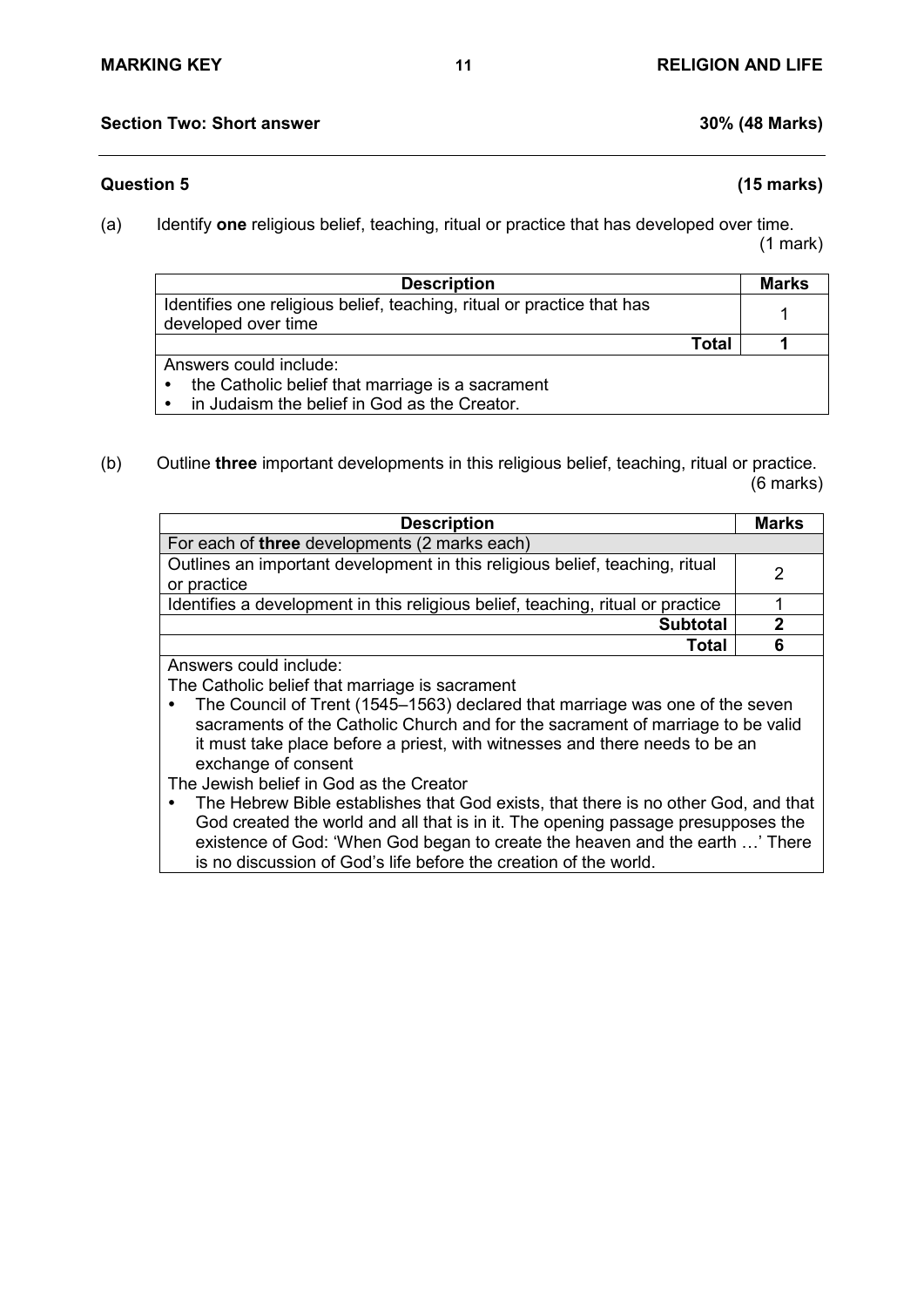### **Question 5 (15 marks)**

(a) Identify **one** religious belief, teaching, ritual or practice that has developed over time.

(1 mark)

| <b>Description</b>                                                     |       | Marks |
|------------------------------------------------------------------------|-------|-------|
| Identifies one religious belief, teaching, ritual or practice that has |       |       |
| developed over time                                                    |       |       |
|                                                                        | Total |       |
| Answers could include:                                                 |       |       |
| the Catholic belief that marriage is a sacrament<br>٠                  |       |       |
| in Judaism the belief in God as the Creator.<br>$\bullet$              |       |       |

(b) Outline **three** important developments in this religious belief, teaching, ritual or practice. (6 marks)

| <b>Description</b>                                                                          | Marks |
|---------------------------------------------------------------------------------------------|-------|
| For each of three developments (2 marks each)                                               |       |
| Outlines an important development in this religious belief, teaching, ritual<br>or practice | 2     |
| Identifies a development in this religious belief, teaching, ritual or practice             |       |
| <b>Subtotal</b>                                                                             | 2     |
| Total                                                                                       | 6     |
| Anewere could include:                                                                      |       |

Answers could include:

The Catholic belief that marriage is sacrament

 The Council of Trent (1545–1563) declared that marriage was one of the seven sacraments of the Catholic Church and for the sacrament of marriage to be valid it must take place before a priest, with witnesses and there needs to be an exchange of consent

The Jewish belief in God as the Creator

 The Hebrew Bible establishes that God exists, that there is no other God, and that God created the world and all that is in it. The opening passage presupposes the existence of God: 'When God began to create the heaven and the earth …' There is no discussion of God's life before the creation of the world.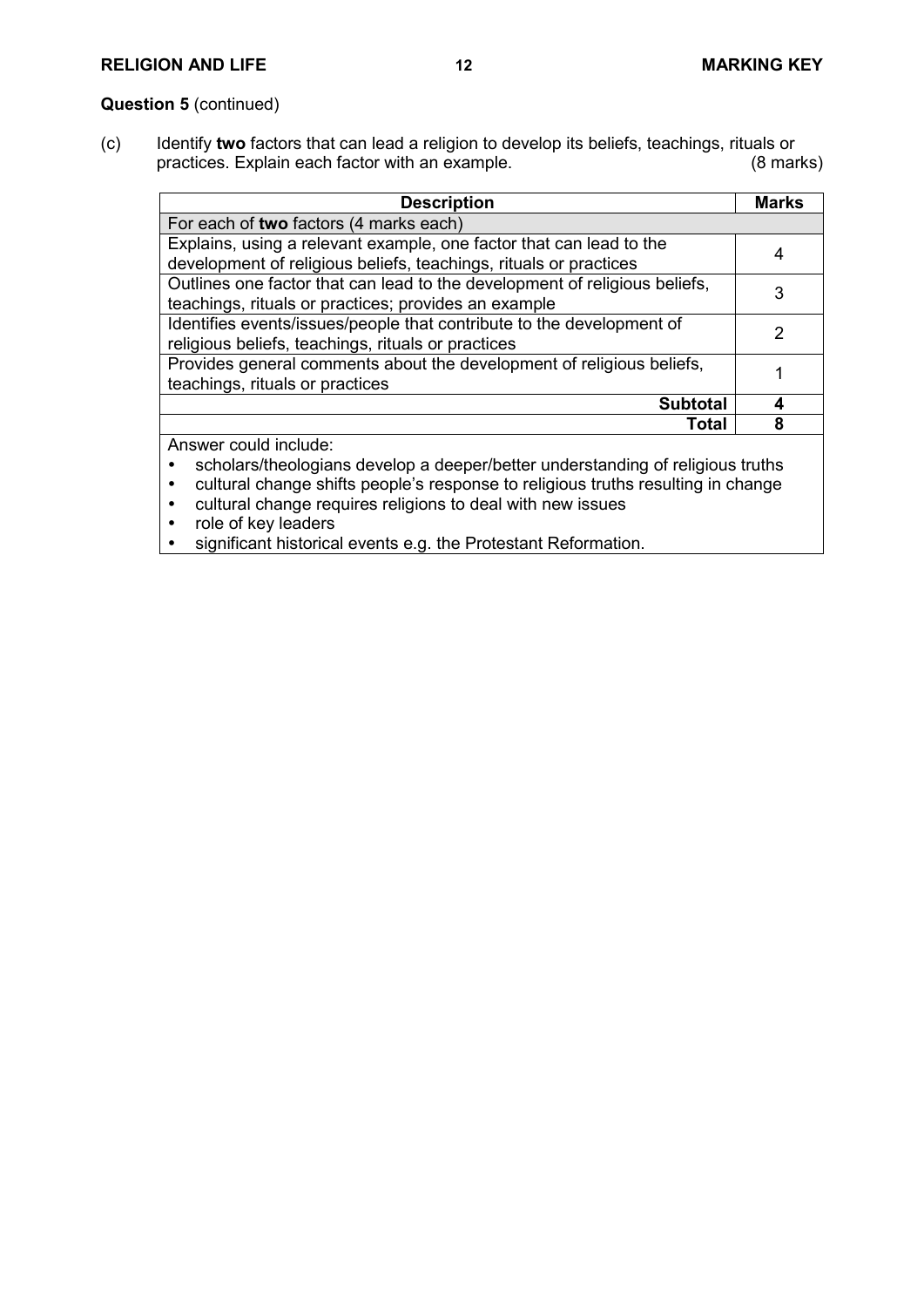# **Question 5** (continued)

(c) Identify **two** factors that can lead a religion to develop its beliefs, teachings, rituals or practices. Explain each factor with an example.

| <b>Description</b>                                                                    | <b>Marks</b> |
|---------------------------------------------------------------------------------------|--------------|
| For each of two factors (4 marks each)                                                |              |
| Explains, using a relevant example, one factor that can lead to the                   | 4            |
| development of religious beliefs, teachings, rituals or practices                     |              |
| Outlines one factor that can lead to the development of religious beliefs,            | 3            |
| teachings, rituals or practices; provides an example                                  |              |
| Identifies events/issues/people that contribute to the development of                 | 2            |
| religious beliefs, teachings, rituals or practices                                    |              |
| Provides general comments about the development of religious beliefs,                 |              |
| teachings, rituals or practices                                                       |              |
| <b>Subtotal</b>                                                                       | 4            |
| Total                                                                                 | 8            |
| Answer could include:                                                                 |              |
| scholars/theologians develop a deeper/better understanding of religious truths        |              |
| cultural change shifts people's response to religious truths resulting in change<br>٠ |              |
| cultural change requires religions to deal with new issues                            |              |

- role of key leaders<br>• significant historica
- significant historical events e.g. the Protestant Reformation.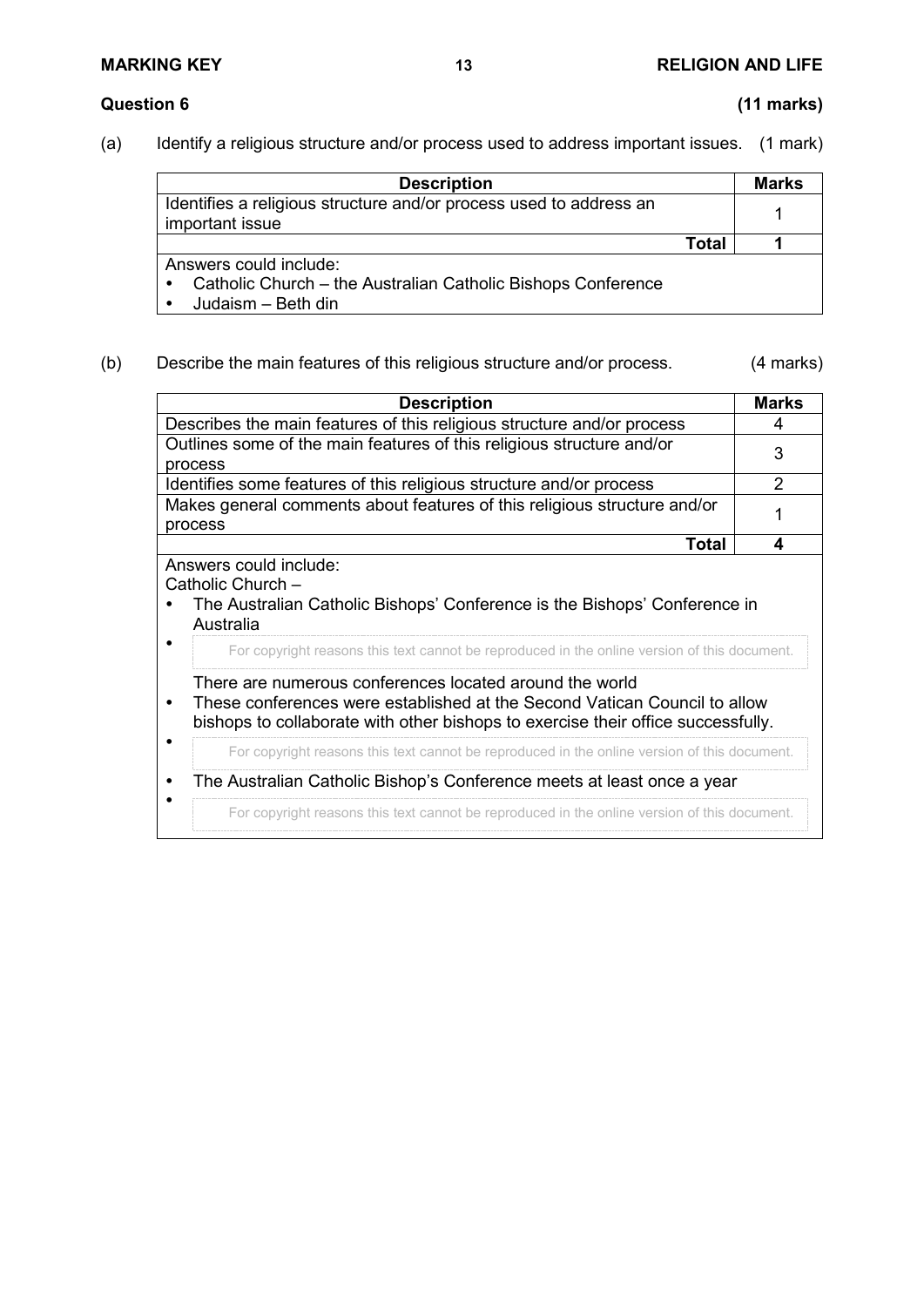(a) Identify a religious structure and/or process used to address important issues. (1 mark)

| <b>Description</b>                                                                                                        |       | Marks |
|---------------------------------------------------------------------------------------------------------------------------|-------|-------|
| Identifies a religious structure and/or process used to address an<br>important issue                                     |       |       |
|                                                                                                                           | Total |       |
| Answers could include:<br>Catholic Church – the Australian Catholic Bishops Conference<br>$\bullet$<br>Judaism - Beth din |       |       |

## (b) Describe the main features of this religious structure and/or process. (4 marks)

| <b>Description</b>                                                                                                                                                                                                                                                                                                                                                                                                                                                                                                                      | <b>Marks</b> |
|-----------------------------------------------------------------------------------------------------------------------------------------------------------------------------------------------------------------------------------------------------------------------------------------------------------------------------------------------------------------------------------------------------------------------------------------------------------------------------------------------------------------------------------------|--------------|
| Describes the main features of this religious structure and/or process                                                                                                                                                                                                                                                                                                                                                                                                                                                                  | 4            |
| Outlines some of the main features of this religious structure and/or<br>process                                                                                                                                                                                                                                                                                                                                                                                                                                                        | 3            |
| Identifies some features of this religious structure and/or process                                                                                                                                                                                                                                                                                                                                                                                                                                                                     | 2            |
| Makes general comments about features of this religious structure and/or<br>process                                                                                                                                                                                                                                                                                                                                                                                                                                                     |              |
| Total                                                                                                                                                                                                                                                                                                                                                                                                                                                                                                                                   | 4            |
| Catholic Church -<br>The Australian Catholic Bishops' Conference is the Bishops' Conference in<br>Australia<br>For copyright reasons this text cannot be reproduced in the online version of this document.<br>There are numerous conferences located around the world<br>These conferences were established at the Second Vatican Council to allow<br>bishops to collaborate with other bishops to exercise their office successfully.<br>For copyright reasons this text cannot be reproduced in the online version of this document. |              |
| The Australian Catholic Bishop's Conference meets at least once a year<br>٠                                                                                                                                                                                                                                                                                                                                                                                                                                                             |              |
| For copyright reasons this text cannot be reproduced in the online version of this document.                                                                                                                                                                                                                                                                                                                                                                                                                                            |              |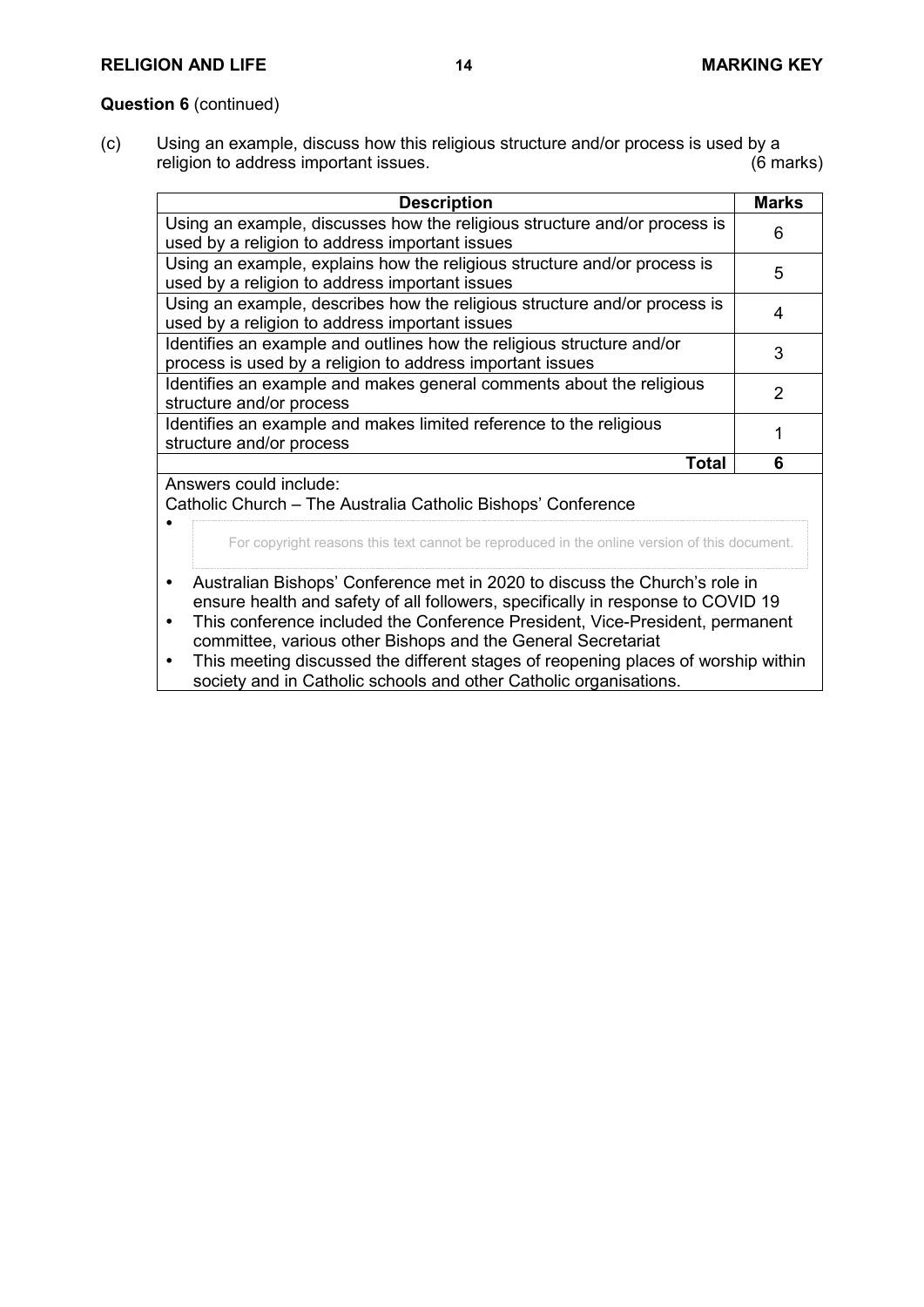### **RELIGION AND LIFE 14 MARKING KEY**

### **Question 6** (continued)

 $\bullet$ 

(c) Using an example, discuss how this religious structure and/or process is used by a religion to address important issues.

| <b>Description</b>                                                        | <b>Marks</b> |
|---------------------------------------------------------------------------|--------------|
| Using an example, discusses how the religious structure and/or process is | 6            |
| used by a religion to address important issues                            |              |
| Using an example, explains how the religious structure and/or process is  | 5            |
| used by a religion to address important issues                            |              |
| Using an example, describes how the religious structure and/or process is |              |
| used by a religion to address important issues                            |              |
| Identifies an example and outlines how the religious structure and/or     | 3            |
| process is used by a religion to address important issues                 |              |
| Identifies an example and makes general comments about the religious      | 2            |
| structure and/or process                                                  |              |
| Identifies an example and makes limited reference to the religious        |              |
| structure and/or process                                                  |              |
| Total                                                                     | 6            |
| Answers could include:                                                    |              |

Catholic Church – The Australia Catholic Bishops' Conference

For copyright reasons this text cannot be reproduced in the online version of this document.

- Australian Bishops' Conference met in 2020 to discuss the Church's role in ensure health and safety of all followers, specifically in response to COVID 19
- This conference included the Conference President, Vice-President, permanent committee, various other Bishops and the General Secretariat
- This meeting discussed the different stages of reopening places of worship within society and in Catholic schools and other Catholic organisations.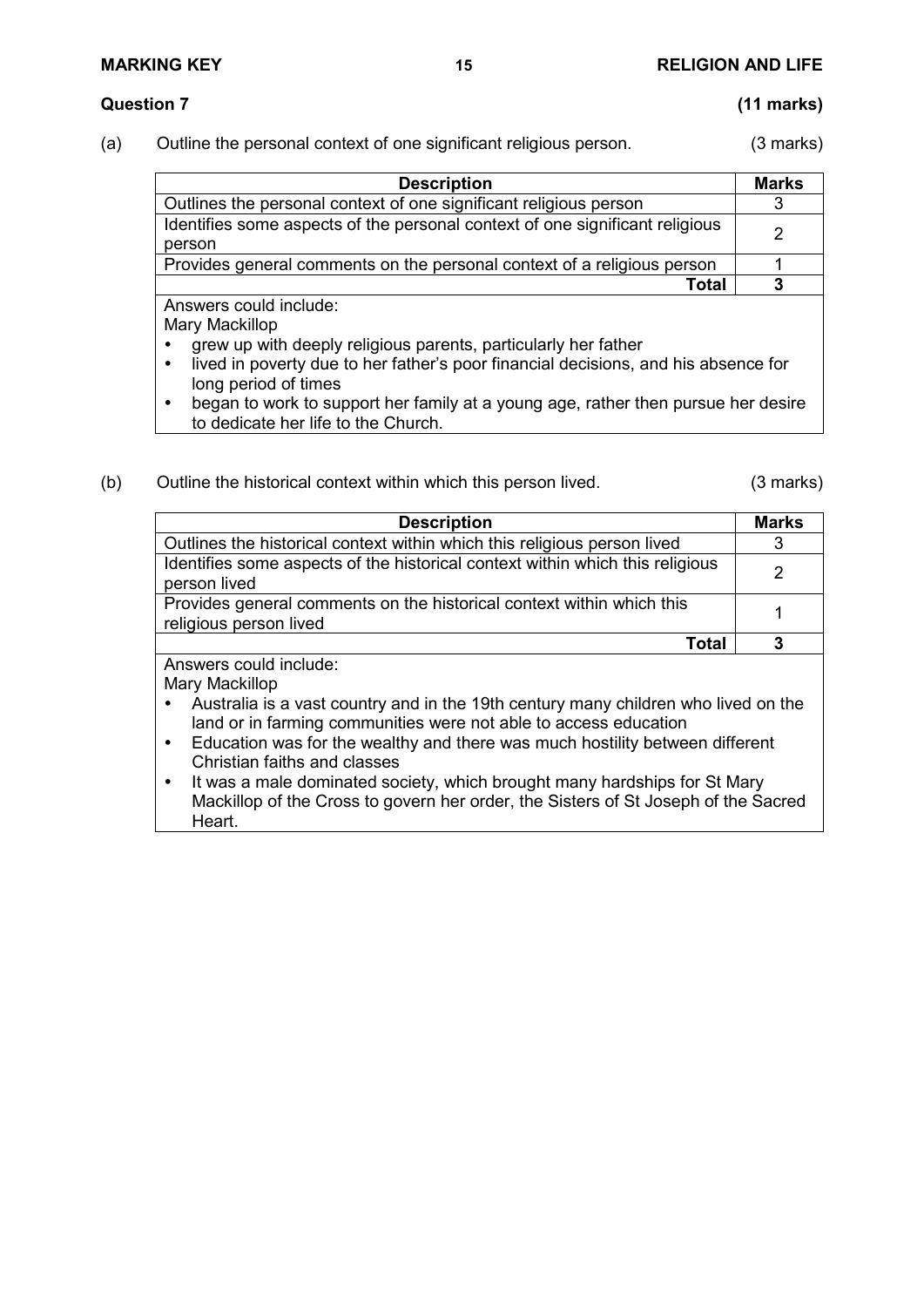# **MARKING KEY 15 RELIGION AND LIFE**

- **Question 7 (11 marks)**
- (a) Outline the personal context of one significant religious person. (3 marks)

| <b>Description</b>                                                                     | <b>Marks</b> |
|----------------------------------------------------------------------------------------|--------------|
| Outlines the personal context of one significant religious person                      |              |
| Identifies some aspects of the personal context of one significant religious<br>person | 2            |
| Provides general comments on the personal context of a religious person                |              |
| Total                                                                                  |              |
| Answers could include:                                                                 |              |

Mary Mackillop

- grew up with deeply religious parents, particularly her father
- lived in poverty due to her father's poor financial decisions, and his absence for long period of times
- began to work to support her family at a young age, rather then pursue her desire to dedicate her life to the Church.
- (b) Outline the historical context within which this person lived. (3 marks)

| <b>Description</b>                                                                                                                                                                                                                                                                                                                                                                                                                                                                                                        | <b>Marks</b>  |
|---------------------------------------------------------------------------------------------------------------------------------------------------------------------------------------------------------------------------------------------------------------------------------------------------------------------------------------------------------------------------------------------------------------------------------------------------------------------------------------------------------------------------|---------------|
| Outlines the historical context within which this religious person lived                                                                                                                                                                                                                                                                                                                                                                                                                                                  | 3             |
| Identifies some aspects of the historical context within which this religious<br>person lived                                                                                                                                                                                                                                                                                                                                                                                                                             | $\mathcal{P}$ |
| Provides general comments on the historical context within which this<br>religious person lived                                                                                                                                                                                                                                                                                                                                                                                                                           |               |
| Total                                                                                                                                                                                                                                                                                                                                                                                                                                                                                                                     | 3             |
| Answers could include:<br>Mary Mackillop<br>Australia is a vast country and in the 19th century many children who lived on the<br>land or in farming communities were not able to access education<br>Education was for the wealthy and there was much hostility between different<br>$\bullet$<br>Christian faiths and classes<br>It was a male dominated society, which brought many hardships for St Mary<br>$\bullet$<br>Mackillop of the Cross to govern her order, the Sisters of St Joseph of the Sacred<br>Heart. |               |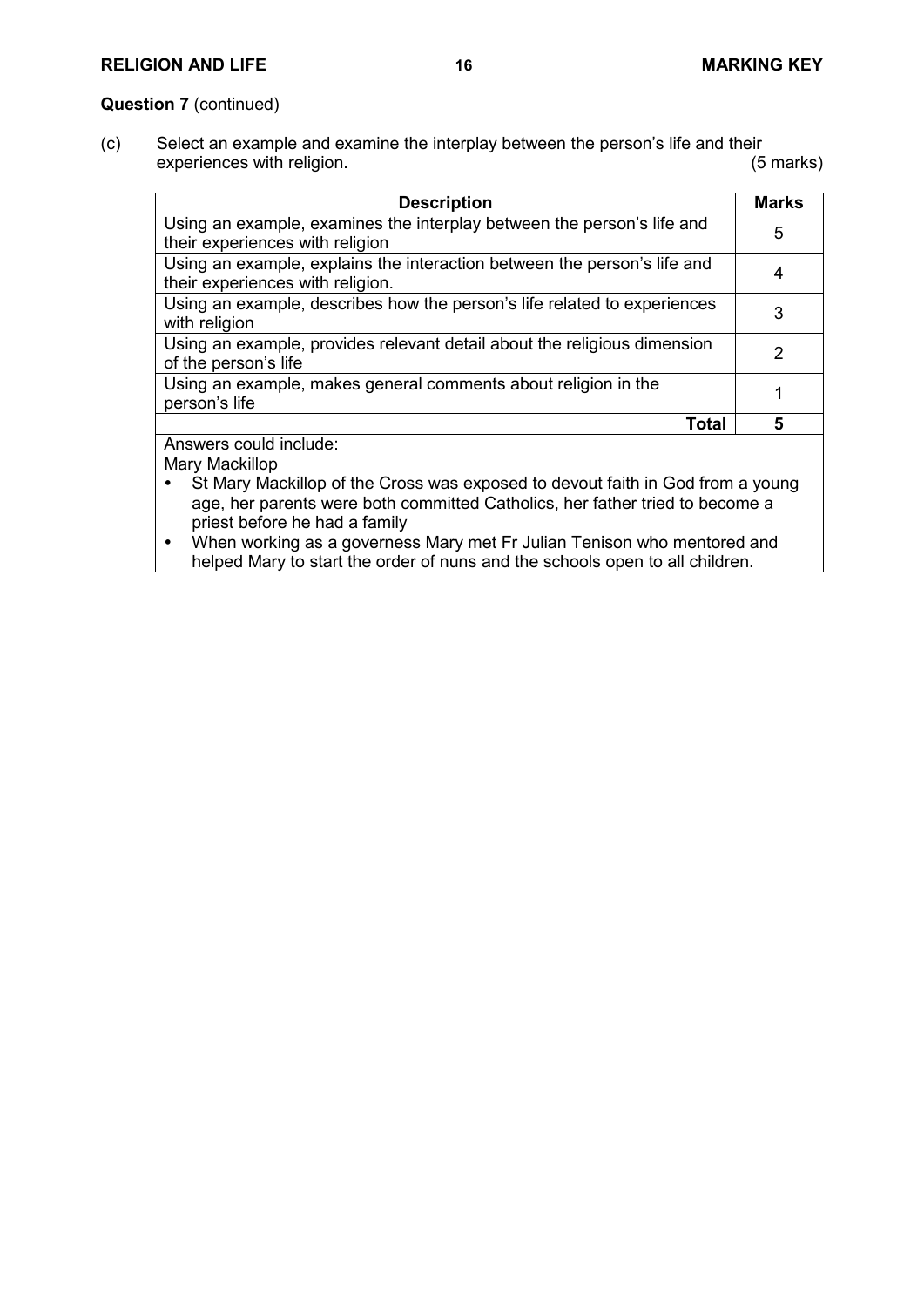# **Question 7** (continued)

(c) Select an example and examine the interplay between the person's life and their<br>experiences with religion. (5 marks) experiences with religion.

| <b>Description</b>                                                                                                                                                                              | <b>Marks</b>  |
|-------------------------------------------------------------------------------------------------------------------------------------------------------------------------------------------------|---------------|
| Using an example, examines the interplay between the person's life and<br>their experiences with religion                                                                                       | 5             |
| Using an example, explains the interaction between the person's life and<br>their experiences with religion.                                                                                    | 4             |
| Using an example, describes how the person's life related to experiences<br>with religion                                                                                                       | 3             |
| Using an example, provides relevant detail about the religious dimension<br>of the person's life                                                                                                | $\mathcal{P}$ |
| Using an example, makes general comments about religion in the<br>person's life                                                                                                                 |               |
| Total                                                                                                                                                                                           | 5             |
| Answers could include:<br>Mary Mackillop                                                                                                                                                        |               |
| St Mary Mackillop of the Cross was exposed to devout faith in God from a young<br>age, her parents were both committed Catholics, her father tried to become a<br>priest before he had a family |               |
| When working as a governess Mary met Fr Julian Tenison who mentored and<br>$\bullet$<br>helped Mary to start the order of nuns and the schools open to all children.                            |               |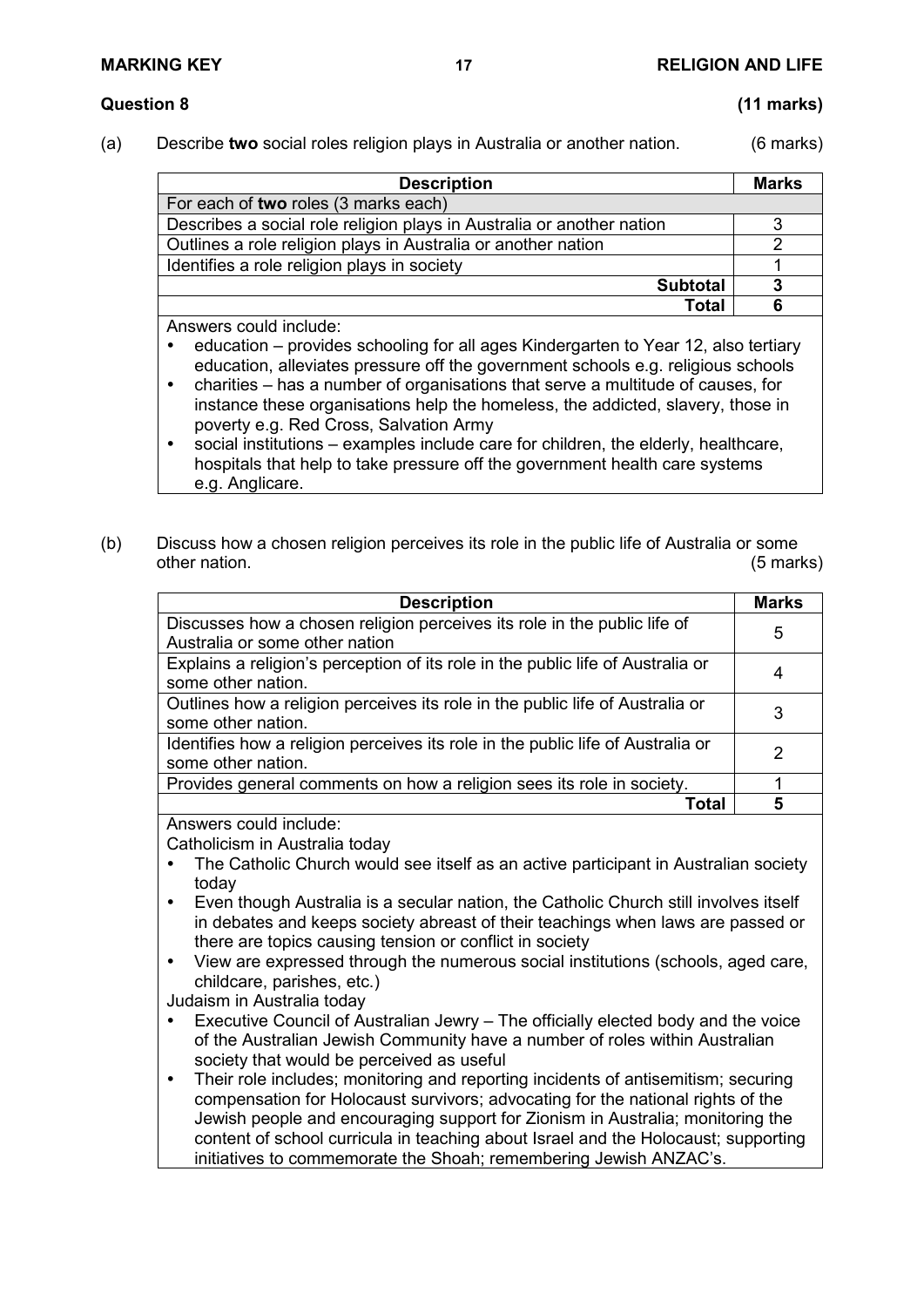# **Question 8 (11 marks)**

(a) Describe **two** social roles religion plays in Australia or another nation. (6 marks)

| <b>Marks</b> |
|--------------|
|              |
|              |
|              |
|              |
|              |
|              |
|              |

Answers could include:

- education provides schooling for all ages Kindergarten to Year 12, also tertiary education, alleviates pressure off the government schools e.g. religious schools
- charities has a number of organisations that serve a multitude of causes, for instance these organisations help the homeless, the addicted, slavery, those in poverty e.g. Red Cross, Salvation Army
- social institutions examples include care for children, the elderly, healthcare, hospitals that help to take pressure off the government health care systems e.g. Anglicare.
- (b) Discuss how a chosen religion perceives its role in the public life of Australia or some other nation. (5 marks)

| <b>Description</b>                                                              | <b>Marks</b> |
|---------------------------------------------------------------------------------|--------------|
| Discusses how a chosen religion perceives its role in the public life of        | 5            |
| Australia or some other nation                                                  |              |
| Explains a religion's perception of its role in the public life of Australia or |              |
| some other nation.                                                              | 4            |
| Outlines how a religion perceives its role in the public life of Australia or   | 3            |
| some other nation.                                                              |              |
| Identifies how a religion perceives its role in the public life of Australia or | 2            |
| some other nation.                                                              |              |
| Provides general comments on how a religion sees its role in society.           |              |
| Total                                                                           |              |
|                                                                                 |              |

Answers could include:

Catholicism in Australia today

- The Catholic Church would see itself as an active participant in Australian society today
- Even though Australia is a secular nation, the Catholic Church still involves itself in debates and keeps society abreast of their teachings when laws are passed or there are topics causing tension or conflict in society
- View are expressed through the numerous social institutions (schools, aged care, childcare, parishes, etc.)

Judaism in Australia today

- Executive Council of Australian Jewry The officially elected body and the voice of the Australian Jewish Community have a number of roles within Australian society that would be perceived as useful
- Their role includes; monitoring and reporting incidents of antisemitism; securing compensation for Holocaust survivors; advocating for the national rights of the Jewish people and encouraging support for Zionism in Australia; monitoring the content of school curricula in teaching about Israel and the Holocaust; supporting initiatives to commemorate the Shoah; remembering Jewish ANZAC's.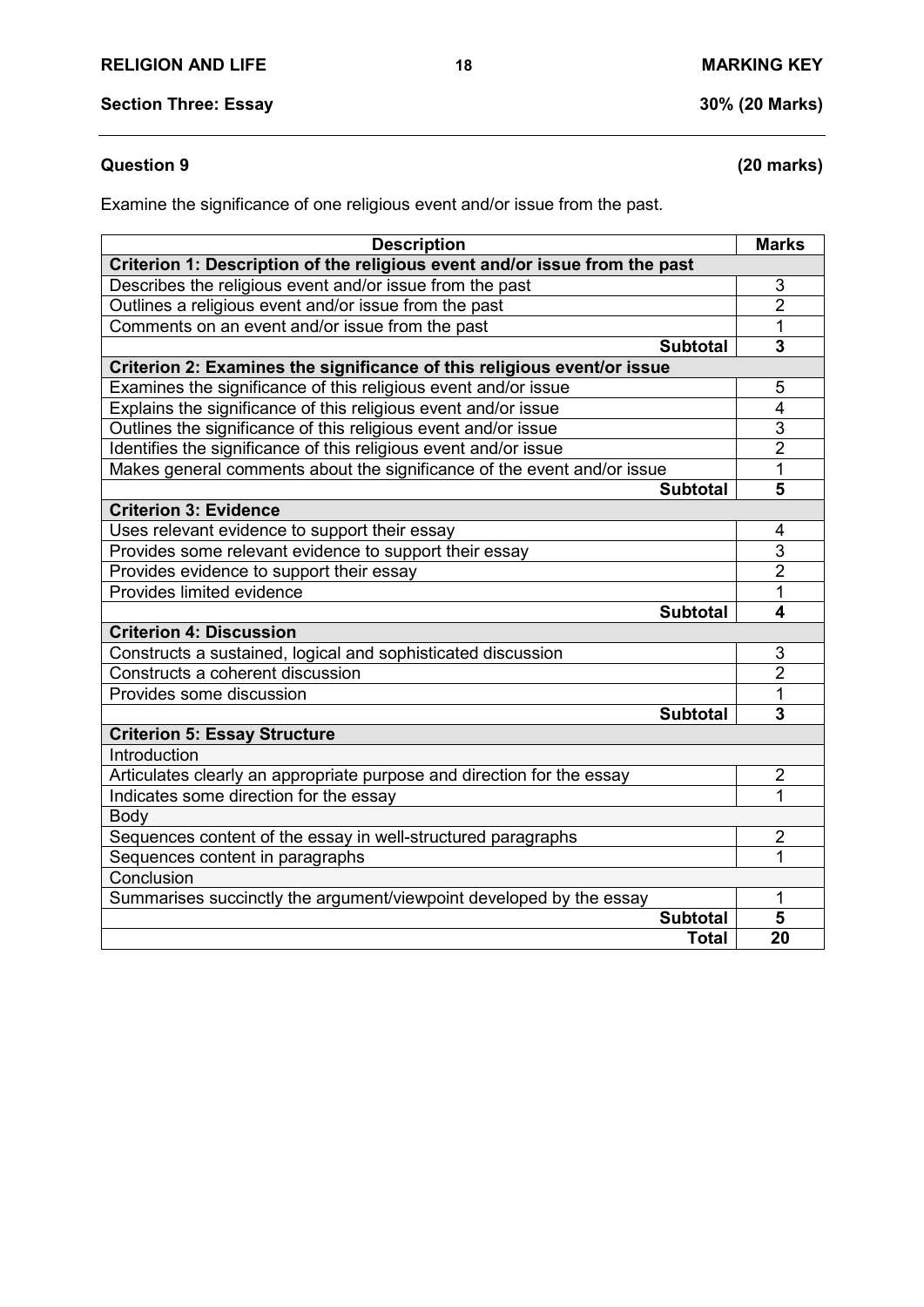# **Question 9 (20 marks)**

Examine the significance of one religious event and/or issue from the past.

| <b>Description</b>                                                         |                 | <b>Marks</b>            |
|----------------------------------------------------------------------------|-----------------|-------------------------|
| Criterion 1: Description of the religious event and/or issue from the past |                 |                         |
| Describes the religious event and/or issue from the past                   |                 | 3                       |
| Outlines a religious event and/or issue from the past                      |                 | $\overline{2}$          |
| Comments on an event and/or issue from the past                            |                 | 1                       |
|                                                                            | <b>Subtotal</b> | 3                       |
| Criterion 2: Examines the significance of this religious event/or issue    |                 |                         |
| Examines the significance of this religious event and/or issue             |                 | 5                       |
| Explains the significance of this religious event and/or issue             |                 | 4                       |
| Outlines the significance of this religious event and/or issue             |                 | 3                       |
| Identifies the significance of this religious event and/or issue           |                 | $\overline{2}$          |
| Makes general comments about the significance of the event and/or issue    |                 | $\mathbf{1}$            |
|                                                                            | <b>Subtotal</b> | 5                       |
| <b>Criterion 3: Evidence</b>                                               |                 |                         |
| Uses relevant evidence to support their essay                              |                 | 4                       |
| Provides some relevant evidence to support their essay                     |                 | $\overline{3}$          |
| Provides evidence to support their essay                                   |                 | $\overline{2}$          |
| Provides limited evidence                                                  |                 | 1                       |
|                                                                            | Subtotal        | 4                       |
| <b>Criterion 4: Discussion</b>                                             |                 |                         |
| Constructs a sustained, logical and sophisticated discussion               |                 | 3                       |
| Constructs a coherent discussion                                           |                 | $\overline{2}$          |
| Provides some discussion                                                   |                 | $\overline{1}$          |
|                                                                            | <b>Subtotal</b> | $\overline{\mathbf{3}}$ |
| <b>Criterion 5: Essay Structure</b>                                        |                 |                         |
| Introduction                                                               |                 |                         |
| Articulates clearly an appropriate purpose and direction for the essay     |                 | $\overline{2}$          |
| Indicates some direction for the essay                                     |                 | 1                       |
| Body                                                                       |                 |                         |
| Sequences content of the essay in well-structured paragraphs               |                 | $\overline{c}$          |
| Sequences content in paragraphs                                            |                 | 1                       |
| Conclusion                                                                 |                 |                         |
| Summarises succinctly the argument/viewpoint developed by the essay        |                 | 1                       |
|                                                                            | <b>Subtotal</b> | 5                       |
|                                                                            | <b>Total</b>    | 20                      |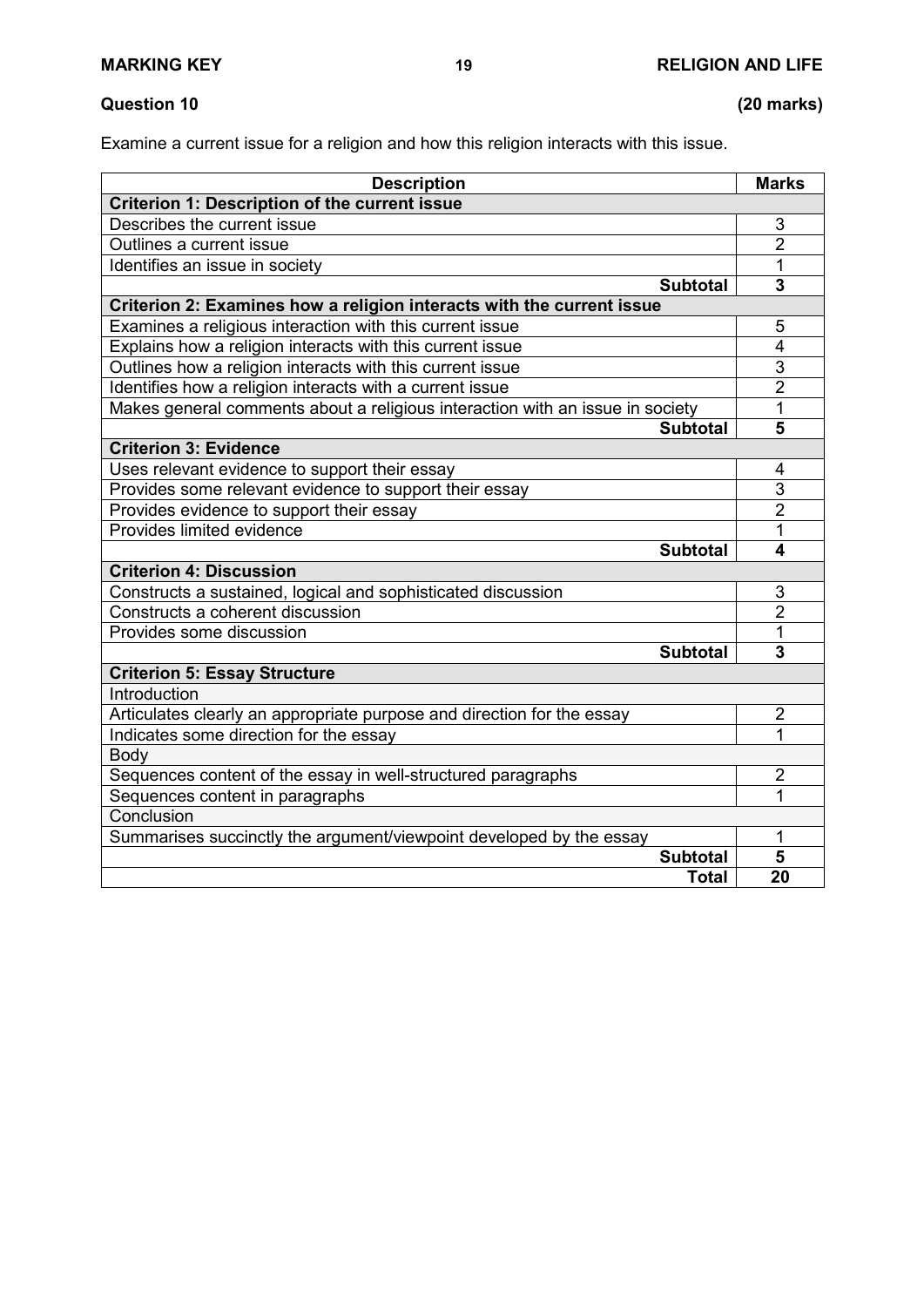# **Question 10 (20 marks)**

Examine a current issue for a religion and how this religion interacts with this issue.

| <b>Description</b>                                                            | <b>Marks</b>            |  |  |
|-------------------------------------------------------------------------------|-------------------------|--|--|
| <b>Criterion 1: Description of the current issue</b>                          |                         |  |  |
| Describes the current issue                                                   | 3                       |  |  |
| Outlines a current issue                                                      | $\overline{2}$          |  |  |
| Identifies an issue in society                                                | 1                       |  |  |
| <b>Subtotal</b>                                                               | 3                       |  |  |
| Criterion 2: Examines how a religion interacts with the current issue         |                         |  |  |
| Examines a religious interaction with this current issue                      | 5                       |  |  |
| Explains how a religion interacts with this current issue                     | $\overline{4}$          |  |  |
| Outlines how a religion interacts with this current issue                     | 3                       |  |  |
| Identifies how a religion interacts with a current issue                      | $\overline{2}$          |  |  |
| Makes general comments about a religious interaction with an issue in society | 1                       |  |  |
| <b>Subtotal</b>                                                               | 5                       |  |  |
| <b>Criterion 3: Evidence</b>                                                  |                         |  |  |
| Uses relevant evidence to support their essay                                 | 4                       |  |  |
| Provides some relevant evidence to support their essay                        | 3                       |  |  |
| Provides evidence to support their essay                                      | $\overline{2}$          |  |  |
| Provides limited evidence                                                     | 1                       |  |  |
| <b>Subtotal</b>                                                               | 4                       |  |  |
| <b>Criterion 4: Discussion</b>                                                |                         |  |  |
| Constructs a sustained, logical and sophisticated discussion                  | 3                       |  |  |
| Constructs a coherent discussion                                              | $\overline{2}$          |  |  |
| Provides some discussion                                                      | 1                       |  |  |
| <b>Subtotal</b>                                                               | $\overline{\mathbf{3}}$ |  |  |
| <b>Criterion 5: Essay Structure</b>                                           |                         |  |  |
| Introduction                                                                  |                         |  |  |
| Articulates clearly an appropriate purpose and direction for the essay        | $\overline{2}$          |  |  |
| Indicates some direction for the essay                                        | 1                       |  |  |
| <b>Body</b>                                                                   |                         |  |  |
| Sequences content of the essay in well-structured paragraphs                  | $\overline{2}$          |  |  |
| Sequences content in paragraphs                                               | 1                       |  |  |
| Conclusion                                                                    |                         |  |  |
| Summarises succinctly the argument/viewpoint developed by the essay           | 1                       |  |  |
| <b>Subtotal</b>                                                               | 5                       |  |  |
| <b>Total</b>                                                                  | 20                      |  |  |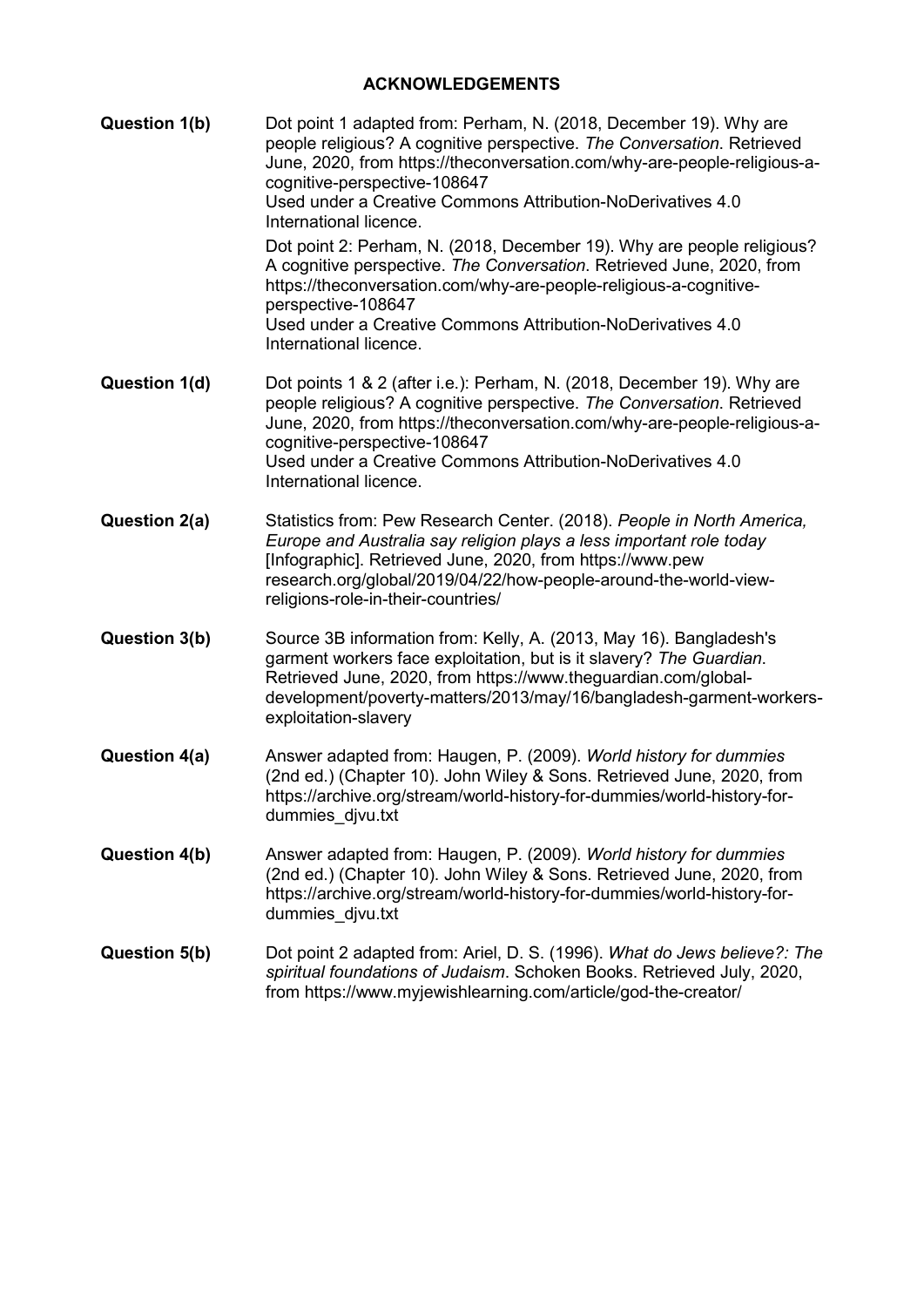# **ACKNOWLEDGEMENTS**

| <b>Question 1(b)</b> | Dot point 1 adapted from: Perham, N. (2018, December 19). Why are<br>people religious? A cognitive perspective. The Conversation. Retrieved<br>June, 2020, from https://theconversation.com/why-are-people-religious-a-<br>cognitive-perspective-108647<br>Used under a Creative Commons Attribution-NoDerivatives 4.0<br>International licence.<br>Dot point 2: Perham, N. (2018, December 19). Why are people religious?<br>A cognitive perspective. The Conversation. Retrieved June, 2020, from<br>https://theconversation.com/why-are-people-religious-a-cognitive-<br>perspective-108647<br>Used under a Creative Commons Attribution-NoDerivatives 4.0<br>International licence. |
|----------------------|-----------------------------------------------------------------------------------------------------------------------------------------------------------------------------------------------------------------------------------------------------------------------------------------------------------------------------------------------------------------------------------------------------------------------------------------------------------------------------------------------------------------------------------------------------------------------------------------------------------------------------------------------------------------------------------------|
| Question 1(d)        | Dot points 1 & 2 (after i.e.): Perham, N. (2018, December 19). Why are<br>people religious? A cognitive perspective. The Conversation. Retrieved<br>June, 2020, from https://theconversation.com/why-are-people-religious-a-<br>cognitive-perspective-108647<br>Used under a Creative Commons Attribution-NoDerivatives 4.0<br>International licence.                                                                                                                                                                                                                                                                                                                                   |
| Question 2(a)        | Statistics from: Pew Research Center. (2018). People in North America,<br>Europe and Australia say religion plays a less important role today<br>[Infographic]. Retrieved June, 2020, from https://www.pew<br>research.org/global/2019/04/22/how-people-around-the-world-view-<br>religions-role-in-their-countries/                                                                                                                                                                                                                                                                                                                                                                    |
| Question 3(b)        | Source 3B information from: Kelly, A. (2013, May 16). Bangladesh's<br>garment workers face exploitation, but is it slavery? The Guardian.<br>Retrieved June, 2020, from https://www.theguardian.com/global-<br>development/poverty-matters/2013/may/16/bangladesh-garment-workers-<br>exploitation-slavery                                                                                                                                                                                                                                                                                                                                                                              |
| Question 4(a)        | Answer adapted from: Haugen, P. (2009). World history for dummies<br>(2nd ed.) (Chapter 10). John Wiley & Sons. Retrieved June, 2020, from<br>https://archive.org/stream/world-history-for-dummies/world-history-for-<br>dummies djvu.txt                                                                                                                                                                                                                                                                                                                                                                                                                                               |
| <b>Question 4(b)</b> | Answer adapted from: Haugen, P. (2009). World history for dummies<br>(2nd ed.) (Chapter 10). John Wiley & Sons. Retrieved June, 2020, from<br>https://archive.org/stream/world-history-for-dummies/world-history-for-<br>dummies djvu.txt                                                                                                                                                                                                                                                                                                                                                                                                                                               |
| <b>Question 5(b)</b> | Dot point 2 adapted from: Ariel, D. S. (1996). What do Jews believe?: The<br>spiritual foundations of Judaism. Schoken Books. Retrieved July, 2020,<br>from https://www.myjewishlearning.com/article/god-the-creator/                                                                                                                                                                                                                                                                                                                                                                                                                                                                   |